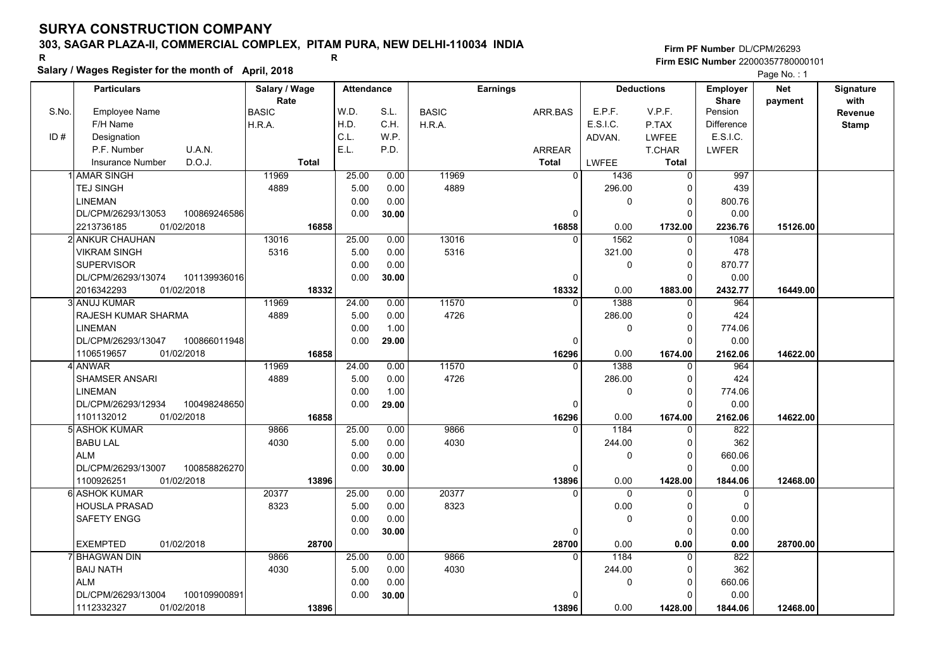### **303, SAGAR PLAZA-II, COMMERCIAL COMPLEX, PITAM PURA, NEW DELHI-110034 INDIA**

**Salary / Wages Register for the month of April, 2018 <sup>R</sup> <sup>R</sup>**

#### **Firm PF Number**DL/CPM/26293**Firm ESIC Number** 22000357780000101

|       | <b>Particulars</b>                 | Salary / Wage        | Attendance |       |              | <b>Earnings</b> |                        | <b>Deductions</b> | <b>Employer</b>         | <b>Net</b> | Signature       |
|-------|------------------------------------|----------------------|------------|-------|--------------|-----------------|------------------------|-------------------|-------------------------|------------|-----------------|
| S.No. | Employee Name                      | Rate<br><b>BASIC</b> | W.D.       | S.L.  | <b>BASIC</b> | ARR.BAS         | E.P.F.                 | V.P.F.            | <b>Share</b><br>Pension | payment    | with<br>Revenue |
|       | F/H Name                           | H.R.A.               | H.D.       | C.H.  | H.R.A.       |                 | E.S.I.C.               | P.TAX             | <b>Difference</b>       |            | <b>Stamp</b>    |
| ID#   | Designation                        |                      | C.L.       | W.P.  |              |                 | ADVAN.                 | LWFEE             | E.S.I.C.                |            |                 |
|       | U.A.N.<br>P.F. Number              |                      | E.L.       | P.D.  |              | ARREAR          |                        | T.CHAR            | <b>LWFER</b>            |            |                 |
|       | D.O.J.<br><b>Insurance Number</b>  | <b>Total</b>         |            |       |              | <b>Total</b>    | LWFEE                  | <b>Total</b>      |                         |            |                 |
|       | <b>AMAR SINGH</b>                  | 11969                | 25.00      | 0.00  | 11969        |                 | $\overline{0}$<br>1436 | $\mathbf 0$       | 997                     |            |                 |
|       | <b>TEJ SINGH</b>                   | 4889                 | 5.00       | 0.00  | 4889         |                 | 296.00                 | 0                 | 439                     |            |                 |
|       | <b>LINEMAN</b>                     |                      | 0.00       | 0.00  |              |                 | 0                      | $\Omega$          | 800.76                  |            |                 |
|       | DL/CPM/26293/13053<br>100869246586 |                      | 0.00       | 30.00 |              |                 | $\Omega$               | $\Omega$          | 0.00                    |            |                 |
|       | 2213736185<br>01/02/2018           | 16858                |            |       |              | 16858           | 0.00                   | 1732.00           | 2236.76                 | 15126.00   |                 |
|       | 2 ANKUR CHAUHAN                    | 13016                | 25.00      | 0.00  | 13016        |                 | 1562<br>$\Omega$       | $\mathbf 0$       | 1084                    |            |                 |
|       | <b>VIKRAM SINGH</b>                | 5316                 | 5.00       | 0.00  | 5316         |                 | 321.00                 | 0                 | 478                     |            |                 |
|       | <b>SUPERVISOR</b>                  |                      | 0.00       | 0.00  |              |                 | 0                      | $\Omega$          | 870.77                  |            |                 |
|       | DL/CPM/26293/13074<br>101139936016 |                      | 0.00       | 30.00 |              |                 | $\Omega$               | $\Omega$          | 0.00                    |            |                 |
|       | 01/02/2018<br>2016342293           | 18332                |            |       |              | 18332           | 0.00                   | 1883.00           | 2432.77                 | 16449.00   |                 |
|       | 3 ANUJ KUMAR                       | 11969                | 24.00      | 0.00  | 11570        |                 | 1388<br>$\mathbf{0}$   | $\mathbf 0$       | 964                     |            |                 |
|       | <b>RAJESH KUMAR SHARMA</b>         | 4889                 | 5.00       | 0.00  | 4726         |                 | 286.00                 | $\Omega$          | 424                     |            |                 |
|       | <b>LINEMAN</b>                     |                      | 0.00       | 1.00  |              |                 | 0                      | $\Omega$          | 774.06                  |            |                 |
|       | DL/CPM/26293/13047<br>100866011948 |                      | 0.00       | 29.00 |              |                 | 0                      | $\Omega$          | 0.00                    |            |                 |
|       | 1106519657<br>01/02/2018           | 16858                |            |       |              | 16296           | 0.00                   | 1674.00           | 2162.06                 | 14622.00   |                 |
|       | 4 ANWAR                            | 11969                | 24.00      | 0.00  | 11570        |                 | 1388<br>$\Omega$       | $\mathbf 0$       | 964                     |            |                 |
|       | SHAMSER ANSARI                     | 4889                 | 5.00       | 0.00  | 4726         |                 | 286.00                 | $\mathbf 0$       | 424                     |            |                 |
|       | <b>LINEMAN</b>                     |                      | 0.00       | 1.00  |              |                 | 0                      | $\Omega$          | 774.06                  |            |                 |
|       | DL/CPM/26293/12934<br>100498248650 |                      | 0.00       | 29.00 |              |                 | 0                      | $\Omega$          | 0.00                    |            |                 |
|       | 1101132012<br>01/02/2018           | 16858                |            |       |              | 16296           | 0.00                   | 1674.00           | 2162.06                 | 14622.00   |                 |
|       | 5 ASHOK KUMAR                      | 9866                 | 25.00      | 0.00  | 9866         |                 | 1184<br>$\Omega$       | $\Omega$          | 822                     |            |                 |
|       | <b>BABU LAL</b>                    | 4030                 | 5.00       | 0.00  | 4030         |                 | 244.00                 | $\Omega$          | 362                     |            |                 |
|       | <b>ALM</b>                         |                      | 0.00       | 0.00  |              |                 | 0                      | $\mathbf 0$       | 660.06                  |            |                 |
|       | DL/CPM/26293/13007<br>100858826270 |                      | 0.00       | 30.00 |              |                 | $\mathbf 0$            | $\Omega$          | 0.00                    |            |                 |
|       | 01/02/2018<br>1100926251           | 13896                |            |       |              | 13896           | 0.00                   | 1428.00           | 1844.06                 | 12468.00   |                 |
|       | 6 ASHOK KUMAR                      | 20377                | 25.00      | 0.00  | 20377        |                 | $\Omega$<br>0          | $\Omega$          | 0                       |            |                 |
|       | <b>HOUSLA PRASAD</b>               | 8323                 | 5.00       | 0.00  | 8323         |                 | 0.00                   | 0                 | $\mathbf 0$             |            |                 |
|       | SAFETY ENGG                        |                      | 0.00       | 0.00  |              |                 | 0                      | $\Omega$          | 0.00                    |            |                 |
|       |                                    |                      | 0.00       | 30.00 |              |                 | 0                      | $\Omega$          | 0.00                    |            |                 |
|       | <b>EXEMPTED</b><br>01/02/2018      | 28700                |            |       |              | 28700           | 0.00                   | 0.00              | 0.00                    | 28700.00   |                 |
|       | <b>BHAGWAN DIN</b>                 | 9866                 | 25.00      | 0.00  | 9866         |                 | 1184<br>$\Omega$       | $\Omega$          | 822                     |            |                 |
|       | <b>BAIJ NATH</b>                   | 4030                 | 5.00       | 0.00  | 4030         |                 | 244.00                 | 0                 | 362                     |            |                 |
|       | <b>ALM</b>                         |                      | 0.00       | 0.00  |              |                 | 0                      | $\overline{0}$    | 660.06                  |            |                 |
|       | DL/CPM/26293/13004<br>100109900891 |                      | 0.00       | 30.00 |              |                 | $\Omega$               | $\Omega$          | 0.00                    |            |                 |
|       | 1112332327<br>01/02/2018           | 13896                |            |       |              | 13896           | 0.00                   | 1428.00           | 1844.06                 | 12468.00   |                 |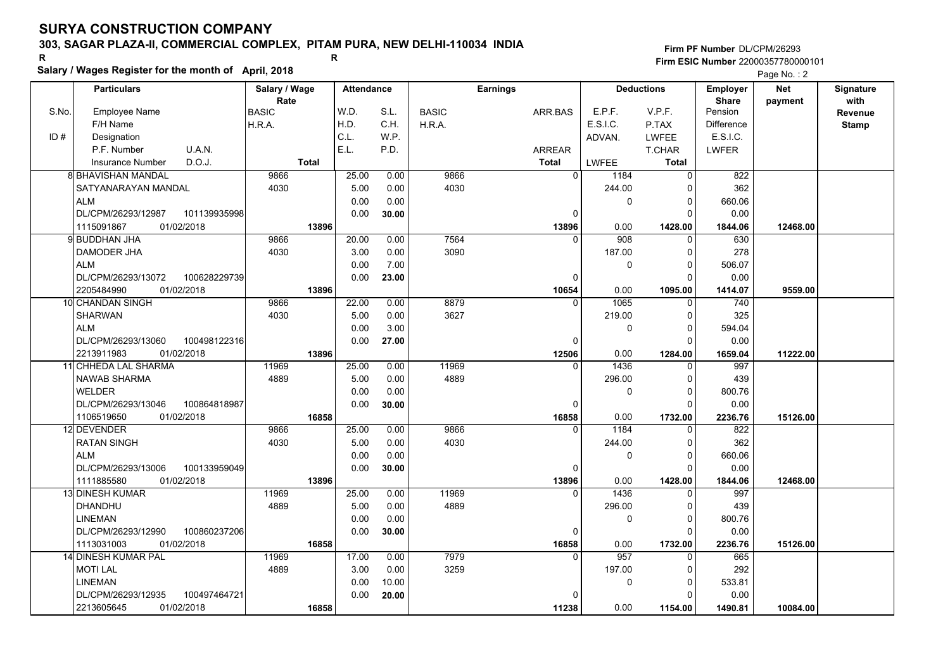### **303, SAGAR PLAZA-II, COMMERCIAL COMPLEX, PITAM PURA, NEW DELHI-110034 INDIA**

**Salary / Wages Register for the month of April, 2018 <sup>R</sup> <sup>R</sup>**

**Firm PF Number**DL/CPM/26293**Firm ESIC Number** 22000357780000101

|       | Salary / Wages Register for the month of April, 2018 |               |                   |       |              |                 |             |                   |                   | Page No.: 2 |                  |
|-------|------------------------------------------------------|---------------|-------------------|-------|--------------|-----------------|-------------|-------------------|-------------------|-------------|------------------|
|       | <b>Particulars</b>                                   | Salary / Wage | <b>Attendance</b> |       |              | <b>Earnings</b> |             | <b>Deductions</b> | Employer          | Net         | <b>Signature</b> |
|       |                                                      | Rate          |                   |       |              |                 |             |                   | <b>Share</b>      | payment     | with             |
| S.No. | <b>Employee Name</b>                                 | <b>BASIC</b>  | W.D.              | S.L.  | <b>BASIC</b> | ARR.BAS         | E.P.F.      | V.P.F.            | Pension           |             | <b>Revenue</b>   |
|       | F/H Name                                             | H.R.A.        | H.D.              | C.H.  | H.R.A.       |                 | E.S.I.C.    | P.TAX             | <b>Difference</b> |             | <b>Stamp</b>     |
| ID#   | Designation                                          |               | C.L.              | W.P.  |              |                 | ADVAN.      | <b>LWFEE</b>      | E.S.I.C.          |             |                  |
|       | P.F. Number<br>U.A.N.                                |               | E.L.              | P.D.  |              | <b>ARREAR</b>   |             | <b>T.CHAR</b>     | <b>LWFER</b>      |             |                  |
|       | D.O.J.<br><b>Insurance Number</b>                    | <b>Total</b>  |                   |       |              | <b>Total</b>    | LWFEE       | <b>Total</b>      |                   |             |                  |
|       | 8 BHAVISHAN MANDAL                                   | 9866          | 25.00             | 0.00  | 9866         | $\overline{0}$  | 1184        | $\overline{0}$    | 822               |             |                  |
|       | SATYANARAYAN MANDAL                                  | 4030          | 5.00              | 0.00  | 4030         |                 | 244.00      | $\Omega$          | 362               |             |                  |
|       | <b>ALM</b>                                           |               | 0.00              | 0.00  |              |                 | $\mathbf 0$ | 0                 | 660.06            |             |                  |
|       | DL/CPM/26293/12987<br>101139935998                   |               | 0.00              | 30.00 |              | 0               |             | $\Omega$          | 0.00              |             |                  |
|       | 1115091867<br>01/02/2018                             | 13896         |                   |       |              | 13896           | 0.00        | 1428.00           | 1844.06           | 12468.00    |                  |
|       | 9 BUDDHAN JHA                                        | 9866          | 20.00             | 0.00  | 7564         | $\Omega$        | 908         | $\Omega$          | 630               |             |                  |
|       | DAMODER JHA                                          | 4030          | 3.00              | 0.00  | 3090         |                 | 187.00      | $\Omega$          | 278               |             |                  |
|       | <b>ALM</b>                                           |               | 0.00              | 7.00  |              |                 | $\pmb{0}$   | $\mathbf{0}$      | 506.07            |             |                  |
|       | DL/CPM/26293/13072<br>100628229739                   |               | 0.00              | 23.00 |              | 0               |             | $\Omega$          | 0.00              |             |                  |
|       | 2205484990<br>01/02/2018                             | 13896         |                   |       |              | 10654           | 0.00        | 1095.00           | 1414.07           | 9559.00     |                  |
|       | 10 CHANDAN SINGH                                     | 9866          | 22.00             | 0.00  | 8879         | $\Omega$        | 1065        | $\mathbf{0}$      | 740               |             |                  |
|       | <b>SHARWAN</b>                                       | 4030          | 5.00              | 0.00  | 3627         |                 | 219.00      | $\Omega$          | 325               |             |                  |
|       | <b>ALM</b>                                           |               | 0.00              | 3.00  |              |                 | $\mathbf 0$ | $\Omega$          | 594.04            |             |                  |
|       | DL/CPM/26293/13060<br>100498122316                   |               | 0.00              | 27.00 |              | $\Omega$        |             | $\Omega$          | 0.00              |             |                  |
|       | 2213911983<br>01/02/2018                             | 13896         |                   |       |              | 12506           | 0.00        | 1284.00           | 1659.04           | 11222.00    |                  |
|       | 11 CHHEDA LAL SHARMA                                 | 11969         | 25.00             | 0.00  | 11969        | $\Omega$        | 1436        | $\Omega$          | 997               |             |                  |
|       | <b>NAWAB SHARMA</b>                                  | 4889          | 5.00              | 0.00  | 4889         |                 | 296.00      | $\Omega$          | 439               |             |                  |
|       | <b>WELDER</b>                                        |               | 0.00              | 0.00  |              |                 | 0           | 0                 | 800.76            |             |                  |
|       | DL/CPM/26293/13046<br>100864818987                   |               | 0.00              | 30.00 |              | 0               |             | $\Omega$          | 0.00              |             |                  |
|       | 01/02/2018<br>1106519650                             | 16858         |                   |       |              | 16858           | 0.00        | 1732.00           | 2236.76           | 15126.00    |                  |
|       | 12 DEVENDER                                          | 9866          | 25.00             | 0.00  | 9866         | $\Omega$        | 1184        | $\Omega$          | 822               |             |                  |
|       | <b>RATAN SINGH</b>                                   | 4030          | 5.00              | 0.00  | 4030         |                 | 244.00      | 0                 | 362               |             |                  |
|       | <b>ALM</b>                                           |               | 0.00              | 0.00  |              |                 | $\mathbf 0$ | $\Omega$          | 660.06            |             |                  |
|       | DL/CPM/26293/13006<br>100133959049                   |               | 0.00              | 30.00 |              | $\Omega$        |             | $\Omega$          | 0.00              |             |                  |
|       | 1111885580<br>01/02/2018                             | 13896         |                   |       |              | 13896           | 0.00        | 1428.00           | 1844.06           | 12468.00    |                  |
|       | 13 DINESH KUMAR                                      | 11969         | 25.00             | 0.00  | 11969        | $\mathbf{0}$    | 1436        | 0                 | 997               |             |                  |
|       | DHANDHU                                              | 4889          | 5.00              | 0.00  | 4889         |                 | 296.00      | $\Omega$          | 439               |             |                  |
|       | <b>LINEMAN</b>                                       |               | 0.00              | 0.00  |              |                 | $\mathbf 0$ | $\Omega$          | 800.76            |             |                  |
|       | DL/CPM/26293/12990<br>100860237206                   |               | 0.00              | 30.00 |              | $\Omega$        |             | $\Omega$          | 0.00              |             |                  |
|       | 1113031003<br>01/02/2018                             | 16858         |                   |       |              | 16858           | 0.00        | 1732.00           | 2236.76           | 15126.00    |                  |
|       | 14 DINESH KUMAR PAL                                  | 11969         | 17.00             | 0.00  | 7979         | $\Omega$        | 957         | $\Omega$          | 665               |             |                  |
|       | <b>MOTI LAL</b>                                      | 4889          | 3.00              | 0.00  | 3259         |                 | 197.00      | $\Omega$          | 292               |             |                  |
|       | LINEMAN                                              |               | 0.00              | 10.00 |              |                 | 0           | 0                 | 533.81            |             |                  |
|       | DL/CPM/26293/12935<br>100497464721                   |               | 0.00              | 20.00 |              |                 |             | 0                 | 0.00              |             |                  |
|       | 2213605645<br>01/02/2018                             | 16858         |                   |       |              | 11238           | 0.00        | 1154.00           | 1490.81           | 10084.00    |                  |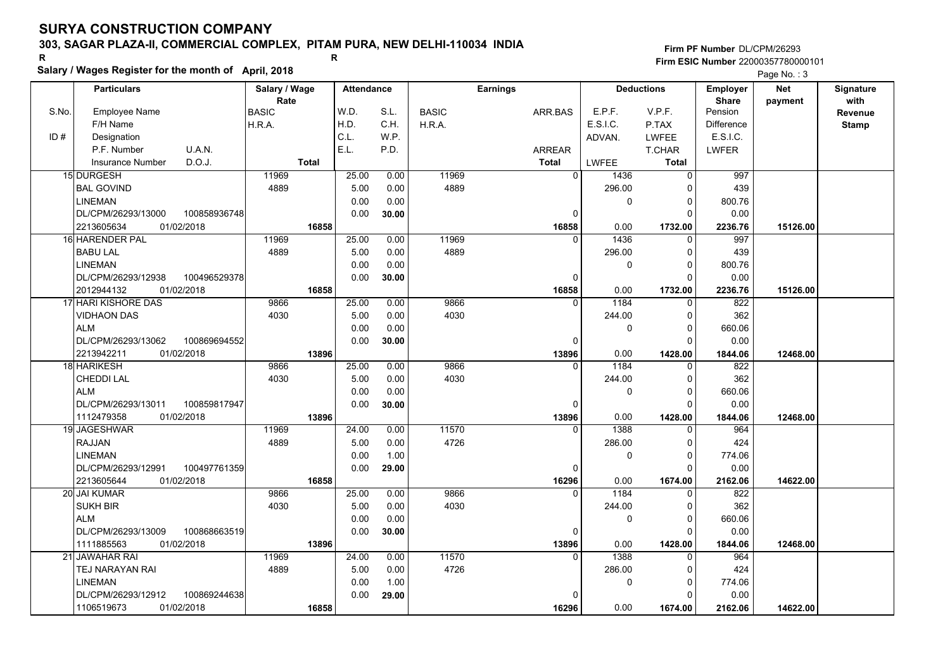### **303, SAGAR PLAZA-II, COMMERCIAL COMPLEX, PITAM PURA, NEW DELHI-110034 INDIA**

**Salary / Wages Register for the month of April, 2018 <sup>R</sup> <sup>R</sup>**

**Firm PF Number**DL/CPM/26293**Firm ESIC Number** 22000357780000101

|       | <b>Particulars</b>                 | Salary / Wage<br>Rate | <b>Attendance</b> |       |              | <b>Earnings</b> |                        | <b>Deductions</b> | <b>Employer</b><br><b>Share</b> | <b>Net</b> | Signature<br>with |
|-------|------------------------------------|-----------------------|-------------------|-------|--------------|-----------------|------------------------|-------------------|---------------------------------|------------|-------------------|
| S.No. | Employee Name                      | <b>BASIC</b>          | W.D.              | S.L.  | <b>BASIC</b> | ARR BAS         | E.P.F.                 | V.P.F.            | Pension                         | payment    | Revenue           |
|       | F/H Name                           | H.R.A.                | H.D.              | C.H.  | H.R.A.       |                 | E.S.I.C.               | P.TAX             | Difference                      |            | <b>Stamp</b>      |
| ID#   | Designation                        |                       | C.L.              | W.P.  |              |                 | ADVAN.                 | <b>LWFEE</b>      | E.S.I.C.                        |            |                   |
|       | U.A.N.<br>P.F. Number              |                       | E.L.              | P.D.  |              | <b>ARREAR</b>   |                        | T.CHAR            | <b>LWFER</b>                    |            |                   |
|       | D.O.J.<br><b>Insurance Number</b>  | <b>Total</b>          |                   |       |              | <b>Total</b>    | LWFEE                  | <b>Total</b>      |                                 |            |                   |
|       | 15 DURGESH                         | 11969                 | 25.00             | 0.00  | 11969        |                 | $\overline{0}$<br>1436 | $\mathbf 0$       | 997                             |            |                   |
|       | <b>BAL GOVIND</b>                  | 4889                  | 5.00              | 0.00  | 4889         |                 | 296.00                 | $\Omega$          | 439                             |            |                   |
|       | <b>LINEMAN</b>                     |                       | 0.00              | 0.00  |              |                 | 0                      | $\mathbf 0$       | 800.76                          |            |                   |
|       | DL/CPM/26293/13000<br>100858936748 |                       | 0.00              | 30.00 |              |                 | $\Omega$               | $\Omega$          | 0.00                            |            |                   |
|       | 2213605634<br>01/02/2018           | 16858                 |                   |       |              | 16858           | 0.00                   | 1732.00           | 2236.76                         | 15126.00   |                   |
|       | 16 HARENDER PAL                    | 11969                 | 25.00             | 0.00  | 11969        |                 | 1436<br><sup>0</sup>   | 0                 | 997                             |            |                   |
|       | <b>BABU LAL</b>                    | 4889                  | 5.00              | 0.00  | 4889         |                 | 296.00                 | 0                 | 439                             |            |                   |
|       | <b>LINEMAN</b>                     |                       | 0.00              | 0.00  |              |                 | 0                      | $\Omega$          | 800.76                          |            |                   |
|       | DL/CPM/26293/12938<br>100496529378 |                       | 0.00              | 30.00 |              |                 | $\Omega$               | $\Omega$          | 0.00                            |            |                   |
|       | 01/02/2018<br>2012944132           | 16858                 |                   |       |              | 16858           | 0.00                   | 1732.00           | 2236.76                         | 15126.00   |                   |
|       | 17 HARI KISHORE DAS                | 9866                  | 25.00             | 0.00  | 9866         |                 | 1184<br>$\Omega$       | $\mathbf 0$       | 822                             |            |                   |
|       | <b>VIDHAON DAS</b>                 | 4030                  | 5.00              | 0.00  | 4030         |                 | 244.00                 | $\Omega$          | 362                             |            |                   |
|       | <b>ALM</b>                         |                       | 0.00              | 0.00  |              |                 | 0                      | $\mathbf 0$       | 660.06                          |            |                   |
|       | DL/CPM/26293/13062<br>100869694552 |                       | 0.00              | 30.00 |              |                 | $\Omega$               | $\Omega$          | 0.00                            |            |                   |
|       | 2213942211<br>01/02/2018           | 13896                 |                   |       |              | 13896           | 0.00                   | 1428.00           | 1844.06                         | 12468.00   |                   |
|       | 18 HARIKESH                        | 9866                  | 25.00             | 0.00  | 9866         |                 | 1184                   | 0                 | 822                             |            |                   |
|       | CHEDDI LAL                         | 4030                  | 5.00              | 0.00  | 4030         |                 | 244.00                 | $\mathbf 0$       | 362                             |            |                   |
|       | <b>ALM</b>                         |                       | 0.00              | 0.00  |              |                 | 0                      | $\Omega$          | 660.06                          |            |                   |
|       | DL/CPM/26293/13011<br>100859817947 |                       | 0.00              | 30.00 |              |                 | 0                      | $\Omega$          | 0.00                            |            |                   |
|       | 1112479358<br>01/02/2018           | 13896                 |                   |       |              | 13896           | 0.00                   | 1428.00           | 1844.06                         | 12468.00   |                   |
|       | 19 JAGESHWAR                       | 11969                 | 24.00             | 0.00  | 11570        |                 | 1388<br>$\Omega$       | $\Omega$          | 964                             |            |                   |
|       | <b>RAJJAN</b>                      | 4889                  | 5.00              | 0.00  | 4726         |                 | 286.00                 | 0                 | 424                             |            |                   |
|       | LINEMAN                            |                       | 0.00              | 1.00  |              |                 | 0                      | $\mathbf 0$       | 774.06                          |            |                   |
|       | 100497761359<br>DL/CPM/26293/12991 |                       | 0.00              | 29.00 |              |                 | $\Omega$               | $\Omega$          | 0.00                            |            |                   |
|       | 2213605644<br>01/02/2018           | 16858                 |                   |       |              | 16296           | 0.00                   | 1674.00           | 2162.06                         | 14622.00   |                   |
|       | 20 JAI KUMAR                       | 9866                  | 25.00             | 0.00  | 9866         |                 | 1184<br>$\Omega$       | $\mathbf 0$       | 822                             |            |                   |
|       | <b>SUKH BIR</b>                    | 4030                  | 5.00              | 0.00  | 4030         |                 | 244.00                 | 0                 | 362                             |            |                   |
|       | <b>ALM</b>                         |                       | 0.00              | 0.00  |              |                 | 0                      | $\mathbf 0$       | 660.06                          |            |                   |
|       | DL/CPM/26293/13009<br>100868663519 |                       | 0.00              | 30.00 |              |                 | 0                      | $\Omega$          | 0.00                            |            |                   |
|       | 1111885563<br>01/02/2018           | 13896                 |                   |       |              | 13896           | 0.00                   | 1428.00           | 1844.06                         | 12468.00   |                   |
|       | 21 JAWAHAR RAI                     | 11969                 | 24.00             | 0.00  | 11570        |                 | 1388<br>$\Omega$       | $\Omega$          | 964                             |            |                   |
|       | TEJ NARAYAN RAI                    | 4889                  | 5.00              | 0.00  | 4726         |                 | 286.00                 | 0                 | 424                             |            |                   |
|       | <b>LINEMAN</b>                     |                       | 0.00              | 1.00  |              |                 | 0                      | 0                 | 774.06                          |            |                   |
|       | DL/CPM/26293/12912<br>100869244638 |                       | 0.00              | 29.00 |              |                 |                        | $\Omega$          | 0.00                            |            |                   |
|       | 01/02/2018<br>1106519673           | 16858                 |                   |       |              | 16296           | 0.00                   | 1674.00           | 2162.06                         | 14622.00   |                   |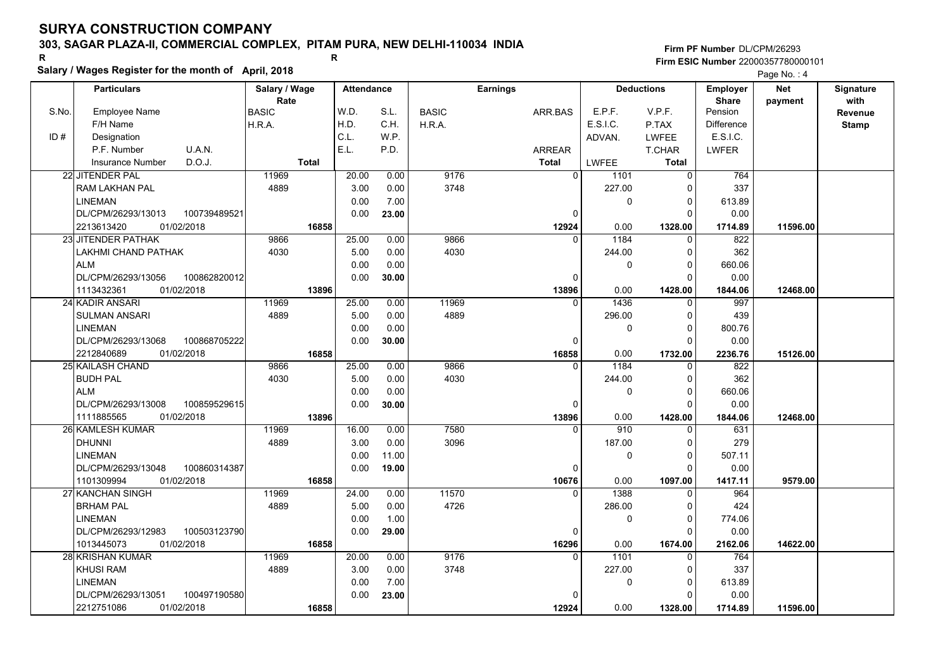### **303, SAGAR PLAZA-II, COMMERCIAL COMPLEX, PITAM PURA, NEW DELHI-110034 INDIA**

**Salary / Wages Register for the month of April, 2018 <sup>R</sup> <sup>R</sup>**

#### **Firm PF Number**DL/CPM/26293**Firm ESIC Number** 22000357780000101

|       | <b>Particulars</b>                 | Salary / Wage        | <b>Attendance</b> |       |              | <b>Earnings</b> |                  | <b>Deductions</b> | Employer                | <b>Net</b> | Signature              |
|-------|------------------------------------|----------------------|-------------------|-------|--------------|-----------------|------------------|-------------------|-------------------------|------------|------------------------|
| S.No. | Employee Name                      | Rate<br><b>BASIC</b> | W.D.              | S.L.  | <b>BASIC</b> | ARR.BAS         | E.P.F.           | V.P.F.            | <b>Share</b><br>Pension | payment    | with<br><b>Revenue</b> |
|       | F/H Name                           | H.R.A.               | H.D.              | C.H.  | H.R.A.       |                 | E.S.I.C.         | P.TAX             | <b>Difference</b>       |            | <b>Stamp</b>           |
| ID#   | Designation                        |                      | C.L.              | W.P.  |              |                 | ADVAN.           | <b>LWFEE</b>      | E.S.I.C.                |            |                        |
|       | U.A.N.<br>P.F. Number              |                      | E.L.              | P.D.  |              | ARREAR          |                  | T.CHAR            | <b>LWFER</b>            |            |                        |
|       | D.O.J.<br><b>Insurance Number</b>  | <b>Total</b>         |                   |       |              | <b>Total</b>    | <b>LWFEE</b>     | <b>Total</b>      |                         |            |                        |
|       | 22 JITENDER PAL                    | 11969                | 20.00             | 0.00  | 9176         |                 | $\Omega$<br>1101 | $\mathbf 0$       | 764                     |            |                        |
|       | RAM LAKHAN PAL                     | 4889                 | 3.00              | 0.00  | 3748         |                 | 227.00           | $\mathbf 0$       | 337                     |            |                        |
|       | <b>LINEMAN</b>                     |                      | 0.00              | 7.00  |              |                 | $\Omega$         | $\mathbf 0$       | 613.89                  |            |                        |
|       | DL/CPM/26293/13013<br>100739489521 |                      | 0.00              | 23.00 |              |                 | $\Omega$         | $\Omega$          | 0.00                    |            |                        |
|       | 2213613420<br>01/02/2018           | 16858                |                   |       |              | 12924           | 0.00             | 1328.00           | 1714.89                 | 11596.00   |                        |
|       | 23 JITENDER PATHAK                 | 9866                 | 25.00             | 0.00  | 9866         |                 | 1184<br>$\Omega$ | $\mathbf 0$       | 822                     |            |                        |
|       | LAKHMI CHAND PATHAK                | 4030                 | 5.00              | 0.00  | 4030         |                 | 244.00           | $\mathbf 0$       | 362                     |            |                        |
|       | <b>ALM</b>                         |                      | 0.00              | 0.00  |              |                 | 0                | $\mathbf 0$       | 660.06                  |            |                        |
|       | DL/CPM/26293/13056<br>100862820012 |                      | 0.00              | 30.00 |              |                 | $\Omega$         | $\Omega$          | 0.00                    |            |                        |
|       | 1113432361<br>01/02/2018           | 13896                |                   |       |              | 13896           | 0.00             | 1428.00           | 1844.06                 | 12468.00   |                        |
|       | 24 KADIR ANSARI                    | 11969                | 25.00             | 0.00  | 11969        |                 | 1436<br>$\Omega$ | 0                 | 997                     |            |                        |
|       | <b>SULMAN ANSARI</b>               | 4889                 | 5.00              | 0.00  | 4889         |                 | 296.00           | $\mathbf 0$       | 439                     |            |                        |
|       | <b>LINEMAN</b>                     |                      | 0.00              | 0.00  |              |                 | 0                | $\mathbf 0$       | 800.76                  |            |                        |
|       | DL/CPM/26293/13068<br>100868705222 |                      | 0.00              | 30.00 |              |                 | 0                | $\Omega$          | 0.00                    |            |                        |
|       | 2212840689<br>01/02/2018           | 16858                |                   |       |              | 16858           | 0.00             | 1732.00           | 2236.76                 | 15126.00   |                        |
|       | 25 KAILASH CHAND                   | 9866                 | 25.00             | 0.00  | 9866         |                 | 1184<br>$\Omega$ | $\mathbf 0$       | 822                     |            |                        |
|       | <b>BUDH PAL</b>                    | 4030                 | 5.00              | 0.00  | 4030         |                 | 244.00           | $\Omega$          | 362                     |            |                        |
|       | <b>ALM</b>                         |                      | 0.00              | 0.00  |              |                 | 0                | $\mathbf 0$       | 660.06                  |            |                        |
|       | DL/CPM/26293/13008<br>100859529615 |                      | 0.00              | 30.00 |              |                 | $\Omega$         | $\Omega$          | 0.00                    |            |                        |
|       | 1111885565<br>01/02/2018           | 13896                |                   |       |              | 13896           | 0.00             | 1428.00           | 1844.06                 | 12468.00   |                        |
|       | 26 KAMLESH KUMAR                   | 11969                | 16.00             | 0.00  | 7580         |                 | 910<br>$\Omega$  | $\Omega$          | 631                     |            |                        |
|       | <b>DHUNNI</b>                      | 4889                 | 3.00              | 0.00  | 3096         |                 | 187.00           | $\mathbf 0$       | 279                     |            |                        |
|       | <b>LINEMAN</b>                     |                      | 0.00              | 11.00 |              |                 | 0                | $\mathbf 0$       | 507.11                  |            |                        |
|       | DL/CPM/26293/13048<br>100860314387 |                      | 0.00              | 19.00 |              |                 | 0                | $\mathbf 0$       | 0.00                    |            |                        |
|       | 1101309994<br>01/02/2018           | 16858                |                   |       |              | 10676           | 0.00             | 1097.00           | 1417.11                 | 9579.00    |                        |
|       | 27 KANCHAN SINGH                   | 11969                | 24.00             | 0.00  | 11570        |                 | 1388<br>$\Omega$ | $\Omega$          | 964                     |            |                        |
|       | <b>BRHAM PAL</b>                   | 4889                 | 5.00              | 0.00  | 4726         |                 | 286.00           | $\mathbf 0$       | 424                     |            |                        |
|       | <b>LINEMAN</b>                     |                      | 0.00              | 1.00  |              |                 | 0                | $\mathbf 0$       | 774.06                  |            |                        |
|       | 100503123790<br>DL/CPM/26293/12983 |                      | 0.00              | 29.00 |              |                 | 0                | $\Omega$          | 0.00                    |            |                        |
|       | 1013445073<br>01/02/2018           | 16858                |                   |       |              | 16296           | 0.00             | 1674.00           | 2162.06                 | 14622.00   |                        |
|       | <b>28 KRISHAN KUMAR</b>            | 11969                | 20.00             | 0.00  | 9176         |                 | 1101<br>$\Omega$ | $\Omega$          | 764                     |            |                        |
|       | <b>KHUSI RAM</b>                   | 4889                 | 3.00              | 0.00  | 3748         |                 | 227.00           | $\mathbf 0$       | 337                     |            |                        |
|       | <b>LINEMAN</b>                     |                      | 0.00              | 7.00  |              |                 | 0                | $\mathbf 0$       | 613.89                  |            |                        |
|       | DL/CPM/26293/13051<br>100497190580 |                      | 0.00              | 23.00 |              |                 | 0                | $\Omega$          | 0.00                    |            |                        |
|       | 2212751086<br>01/02/2018           | 16858                |                   |       |              | 12924           | 0.00             | 1328.00           | 1714.89                 | 11596.00   |                        |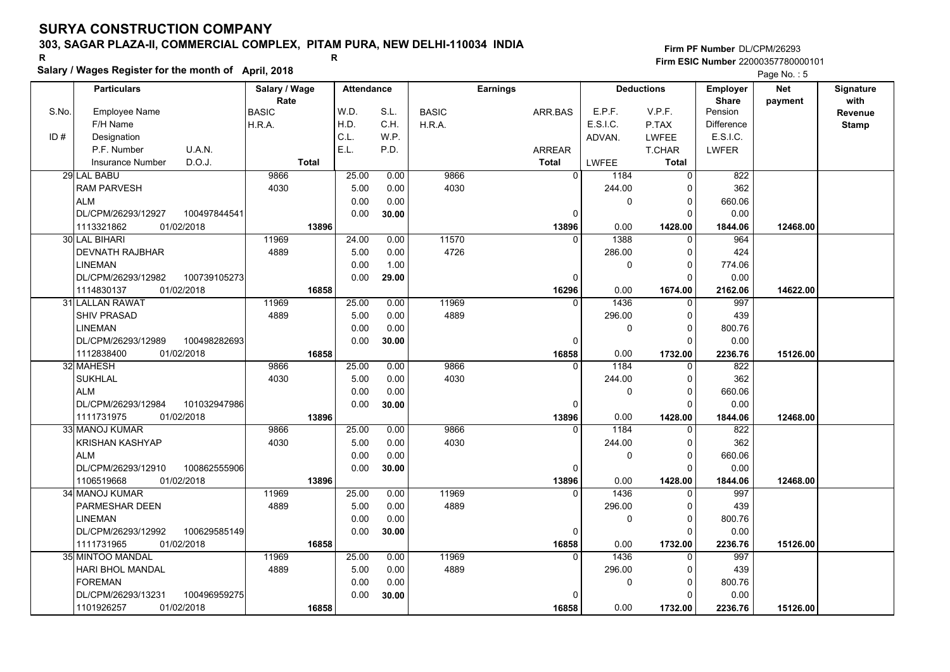### **303, SAGAR PLAZA-II, COMMERCIAL COMPLEX, PITAM PURA, NEW DELHI-110034 INDIA**

**Salary / Wages Register for the month of April, 2018 <sup>R</sup> <sup>R</sup>**

**Firm PF Number**DL/CPM/26293**Firm ESIC Number** 22000357780000101

|       | <b>Particulars</b>                   |              | Salary / Wage<br>Rate |              | <b>Attendance</b> |       |              | <b>Earnings</b> |                |          | <b>Deductions</b> | <b>Employer</b>         | <b>Net</b> | Signature       |
|-------|--------------------------------------|--------------|-----------------------|--------------|-------------------|-------|--------------|-----------------|----------------|----------|-------------------|-------------------------|------------|-----------------|
| S.No. | Employee Name                        |              | BASIC                 |              | W.D.              | S.L.  | <b>BASIC</b> |                 | ARR.BAS        | E.P.F.   | V.P.F.            | <b>Share</b><br>Pension | payment    | with<br>Revenue |
|       | F/H Name                             |              | H.R.A.                |              | H.D.              | C.H.  | H.R.A.       |                 |                | E.S.I.C. | P.TAX             | <b>Difference</b>       |            | <b>Stamp</b>    |
| ID#   | Designation                          |              |                       |              | C.L.              | W.P.  |              |                 |                | ADVAN.   | <b>LWFEE</b>      | E.S.I.C.                |            |                 |
|       | P.F. Number                          | U.A.N.       |                       |              | E.L.              | P.D.  |              |                 | ARREAR         |          | T.CHAR            | <b>LWFER</b>            |            |                 |
|       | <b>Insurance Number</b>              | D.O.J.       |                       | <b>Total</b> |                   |       |              |                 | <b>Total</b>   | LWFEE    | <b>Total</b>      |                         |            |                 |
|       | 29 LAL BABU                          |              | 9866                  |              | 25.00             | 0.00  | 9866         |                 | $\overline{0}$ | 1184     | $\mathbf 0$       | 822                     |            |                 |
|       | <b>RAM PARVESH</b>                   |              | 4030                  |              | 5.00              | 0.00  | 4030         |                 |                | 244.00   | 0                 | 362                     |            |                 |
|       | <b>ALM</b>                           |              |                       |              | 0.00              | 0.00  |              |                 |                | 0        | $\mathbf 0$       | 660.06                  |            |                 |
|       | DL/CPM/26293/12927                   | 100497844541 |                       |              | 0.00              | 30.00 |              |                 | $\Omega$       |          | $\Omega$          | 0.00                    |            |                 |
|       | 01/02/2018<br>1113321862             |              |                       | 13896        |                   |       |              |                 | 13896          | 0.00     | 1428.00           | 1844.06                 | 12468.00   |                 |
|       | 30 LAL BIHARI                        |              | 11969                 |              | 24.00             | 0.00  | 11570        |                 | $\Omega$       | 1388     | $\mathbf 0$       | 964                     |            |                 |
|       | <b>DEVNATH RAJBHAR</b>               |              | 4889                  |              | 5.00              | 0.00  | 4726         |                 |                | 286.00   | 0                 | 424                     |            |                 |
|       | <b>LINEMAN</b>                       |              |                       |              | 0.00              | 1.00  |              |                 |                | 0        | $\mathbf 0$       | 774.06                  |            |                 |
|       | DL/CPM/26293/12982                   | 100739105273 |                       |              | 0.00              | 29.00 |              |                 | $\Omega$       |          | $\Omega$          | 0.00                    |            |                 |
|       | 1114830137<br>01/02/2018             |              |                       | 16858        |                   |       |              |                 | 16296          | 0.00     | 1674.00           | 2162.06                 | 14622.00   |                 |
|       | 31 LALLAN RAWAT                      |              | 11969                 |              | 25.00             | 0.00  | 11969        |                 |                | 1436     | 0                 | 997                     |            |                 |
|       | <b>SHIV PRASAD</b>                   |              | 4889                  |              | 5.00              | 0.00  | 4889         |                 |                | 296.00   | 0                 | 439                     |            |                 |
|       | <b>LINEMAN</b>                       |              |                       |              | 0.00              | 0.00  |              |                 |                | 0        | $\mathbf 0$       | 800.76                  |            |                 |
|       | DL/CPM/26293/12989                   | 100498282693 |                       |              | 0.00              | 30.00 |              |                 | $\Omega$       |          | $\Omega$          | 0.00                    |            |                 |
|       | 1112838400<br>01/02/2018             |              |                       | 16858        |                   |       |              |                 | 16858          | 0.00     | 1732.00           | 2236.76                 | 15126.00   |                 |
|       | 32 MAHESH                            |              | 9866                  |              | 25.00             | 0.00  | 9866         |                 | $\Omega$       | 1184     | $\mathbf 0$       | 822                     |            |                 |
|       | <b>SUKHLAL</b>                       |              | 4030                  |              | 5.00              | 0.00  | 4030         |                 |                | 244.00   | 0                 | 362                     |            |                 |
|       | <b>ALM</b>                           |              |                       |              | 0.00              | 0.00  |              |                 |                | 0        | 0                 | 660.06                  |            |                 |
|       | DL/CPM/26293/12984                   | 101032947986 |                       |              | 0.00              | 30.00 |              |                 | 0              |          | $\Omega$          | 0.00                    |            |                 |
|       | 1111731975<br>01/02/2018             |              |                       | 13896        |                   |       |              |                 | 13896          | 0.00     | 1428.00           | 1844.06                 | 12468.00   |                 |
|       | 33 MANOJ KUMAR                       |              | 9866                  |              | 25.00             | 0.00  | 9866         |                 | $\Omega$       | 1184     | $\mathbf 0$       | 822                     |            |                 |
|       | <b>KRISHAN KASHYAP</b>               |              | 4030                  |              | 5.00              | 0.00  | 4030         |                 |                | 244.00   | 0                 | 362                     |            |                 |
|       | <b>ALM</b>                           |              |                       |              | 0.00              | 0.00  |              |                 |                | 0        | 0                 | 660.06                  |            |                 |
|       | DL/CPM/26293/12910                   | 100862555906 |                       |              | 0.00              | 30.00 |              |                 | $\Omega$       |          | $\Omega$          | 0.00                    |            |                 |
|       | 1106519668<br>01/02/2018             |              |                       | 13896        |                   |       |              |                 | 13896          | 0.00     | 1428.00           | 1844.06                 | 12468.00   |                 |
|       | 34l MANOJ KUMAR                      |              | 11969                 |              | 25.00             | 0.00  | 11969        |                 |                | 1436     | $\mathbf 0$       | 997                     |            |                 |
|       | PARMESHAR DEEN                       |              | 4889                  |              | 5.00              | 0.00  | 4889         |                 |                | 296.00   | 0                 | 439                     |            |                 |
|       | <b>LINEMAN</b>                       |              |                       |              | 0.00              | 0.00  |              |                 |                | 0        | $\mathbf 0$       | 800.76                  |            |                 |
|       | DL/CPM/26293/12992                   | 100629585149 |                       |              | 0.00              | 30.00 |              |                 | $\Omega$       |          | $\Omega$          | 0.00                    |            |                 |
|       | 1111731965<br>01/02/2018             |              |                       | 16858        |                   |       |              |                 | 16858          | 0.00     | 1732.00           | 2236.76                 | 15126.00   |                 |
|       | 35 MINTOO MANDAL                     |              | 11969                 |              | 25.00             | 0.00  | 11969        |                 | $\Omega$       | 1436     | 0                 | 997                     |            |                 |
|       | <b>HARI BHOL MANDAL</b>              |              | 4889                  |              | 5.00              | 0.00  | 4889         |                 |                | 296.00   | 0                 | 439                     |            |                 |
|       | <b>FOREMAN</b><br>DL/CPM/26293/13231 |              |                       |              | 0.00              | 0.00  |              |                 |                | 0        | 0<br>$\Omega$     | 800.76                  |            |                 |
|       |                                      | 100496959275 |                       |              | 0.00              | 30.00 |              |                 | <sup>0</sup>   |          |                   | 0.00                    |            |                 |
|       | 1101926257<br>01/02/2018             |              |                       | 16858        |                   |       |              |                 | 16858          | 0.00     | 1732.00           | 2236.76                 | 15126.00   |                 |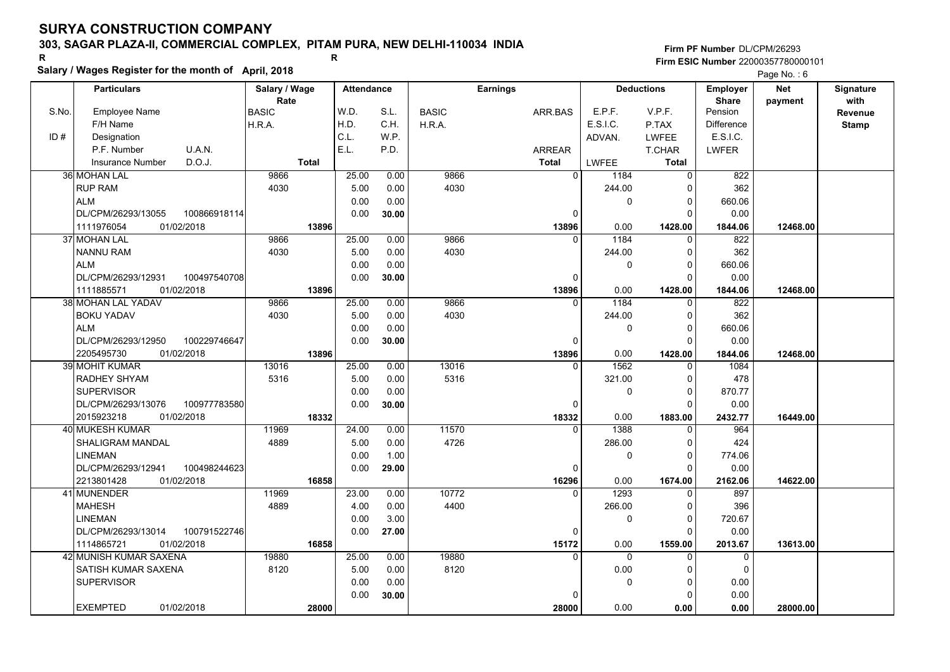### **303, SAGAR PLAZA-II, COMMERCIAL COMPLEX, PITAM PURA, NEW DELHI-110034 INDIA**

**Salary / Wages Register for the month of April, 2018 <sup>R</sup> <sup>R</sup>**

#### **Firm PF Number**DL/CPM/26293**Firm ESIC Number** 22000357780000101

|       | Salary / wages Register for the month of April, 2018 |               |       |                   |       |              |                 |               |              |                   |                   |            |              |
|-------|------------------------------------------------------|---------------|-------|-------------------|-------|--------------|-----------------|---------------|--------------|-------------------|-------------------|------------|--------------|
|       | <b>Particulars</b>                                   | Salary / Wage |       | <b>Attendance</b> |       |              | <b>Earnings</b> |               |              | <b>Deductions</b> | <b>Employer</b>   | <b>Net</b> | Signature    |
|       |                                                      | Rate          |       |                   |       |              |                 |               |              |                   | <b>Share</b>      | payment    | with         |
| S.No. | <b>Employee Name</b>                                 | <b>BASIC</b>  |       | W.D.              | S.L.  | <b>BASIC</b> |                 | ARR.BAS       | E.P.F.       | V.P.F.            | Pension           |            | Revenue      |
|       | F/H Name                                             | H.R.A.        |       | H.D.              | C.H.  | H.R.A.       |                 |               | E.S.I.C.     | P.TAX             | <b>Difference</b> |            | <b>Stamp</b> |
| ID#   | Designation                                          |               |       | C.L.              | W.P.  |              |                 |               | ADVAN.       | <b>LWFEE</b>      | E.S.I.C.          |            |              |
|       | U.A.N.<br>P.F. Number                                |               |       | E.L.              | P.D.  |              |                 | <b>ARREAR</b> |              | T.CHAR            | <b>LWFER</b>      |            |              |
|       | D.O.J.<br><b>Insurance Number</b>                    | <b>Total</b>  |       |                   |       |              |                 | <b>Total</b>  | LWFEE        | Total             |                   |            |              |
|       | 36 MOHAN LAL                                         | 9866          |       | 25.00             | 0.00  | 9866         |                 | $\Omega$      | 1184         | $\mathbf 0$       | 822               |            |              |
|       | <b>RUP RAM</b>                                       | 4030          |       | 5.00              | 0.00  | 4030         |                 |               | 244.00       | $\Omega$          | 362               |            |              |
|       | <b>ALM</b>                                           |               |       | 0.00              | 0.00  |              |                 |               | $\mathbf 0$  | $\pmb{0}$         | 660.06            |            |              |
|       | DL/CPM/26293/13055<br>100866918114                   |               |       | 0.00              | 30.00 |              |                 | 0             |              | $\Omega$          | 0.00              |            |              |
|       | 1111976054<br>01/02/2018                             |               | 13896 |                   |       |              |                 | 13896         | 0.00         | 1428.00           | 1844.06           | 12468.00   |              |
|       | <b>37 MOHAN LAL</b>                                  | 9866          |       | 25.00             | 0.00  | 9866         |                 | $\Omega$      | 1184         | $\Omega$          | 822               |            |              |
|       | <b>NANNU RAM</b>                                     | 4030          |       | 5.00              | 0.00  | 4030         |                 |               | 244.00       | 0                 | 362               |            |              |
|       | <b>ALM</b>                                           |               |       | 0.00              | 0.00  |              |                 |               | 0            | $\mathbf 0$       | 660.06            |            |              |
|       | DL/CPM/26293/12931<br>100497540708                   |               |       | 0.00              | 30.00 |              |                 | $\Omega$      |              | $\Omega$          | 0.00              |            |              |
|       | 1111885571<br>01/02/2018                             |               | 13896 |                   |       |              |                 | 13896         | 0.00         | 1428.00           | 1844.06           | 12468.00   |              |
|       | 38 MOHAN LAL YADAV                                   | 9866          |       | 25.00             | 0.00  | 9866         |                 | $\Omega$      | 1184         | 0                 | 822               |            |              |
|       | <b>BOKU YADAV</b>                                    | 4030          |       | 5.00              | 0.00  | 4030         |                 |               | 244.00       | $\mathbf 0$       | 362               |            |              |
|       | <b>ALM</b>                                           |               |       | 0.00              | 0.00  |              |                 |               | $\mathbf{0}$ | $\mathbf 0$       | 660.06            |            |              |
|       | DL/CPM/26293/12950<br>100229746647                   |               |       | 0.00              | 30.00 |              |                 | $\Omega$      |              | $\Omega$          | 0.00              |            |              |
|       | 2205495730<br>01/02/2018                             |               | 13896 |                   |       |              |                 | 13896         | 0.00         | 1428.00           | 1844.06           | 12468.00   |              |
|       | <b>39 MOHIT KUMAR</b>                                | 13016         |       | 25.00             | 0.00  | 13016        |                 | $\Omega$      | 1562         | $\Omega$          | 1084              |            |              |
|       | RADHEY SHYAM                                         | 5316          |       | 5.00              | 0.00  | 5316         |                 |               | 321.00       | $\mathbf 0$       | 478               |            |              |
|       | <b>SUPERVISOR</b>                                    |               |       | 0.00              | 0.00  |              |                 |               | $\mathbf 0$  | $\mathbf 0$       | 870.77            |            |              |
|       | DL/CPM/26293/13076<br>100977783580                   |               |       | 0.00              | 30.00 |              |                 | $\Omega$      |              | $\Omega$          | 0.00              |            |              |
|       | 2015923218<br>01/02/2018                             |               | 18332 |                   |       |              |                 | 18332         | 0.00         | 1883.00           | 2432.77           | 16449.00   |              |
|       | 40 MUKESH KUMAR                                      | 11969         |       | 24.00             | 0.00  | 11570        |                 | $\Omega$      | 1388         | 0                 | 964               |            |              |
|       | SHALIGRAM MANDAL                                     | 4889          |       | 5.00              | 0.00  | 4726         |                 |               | 286.00       | $\mathbf 0$       | 424               |            |              |
|       | LINEMAN                                              |               |       | 0.00              | 1.00  |              |                 |               | 0            | $\Omega$          | 774.06            |            |              |
|       | DL/CPM/26293/12941<br>100498244623                   |               |       | 0.00              | 29.00 |              |                 | 0             |              | $\Omega$          | 0.00              |            |              |
|       | 2213801428<br>01/02/2018                             | 16858         |       |                   |       |              |                 | 16296         | 0.00         | 1674.00           | 2162.06           | 14622.00   |              |
|       | 41 MUNENDER                                          | 11969         |       | 23.00             | 0.00  | 10772        |                 | $\Omega$      | 1293         | 0                 | 897               |            |              |
|       | <b>MAHESH</b>                                        | 4889          |       | 4.00              | 0.00  | 4400         |                 |               | 266.00       | $\mathbf 0$       | 396               |            |              |
|       | <b>LINEMAN</b>                                       |               |       | 0.00              | 3.00  |              |                 |               | $\mathbf 0$  | $\mathbf 0$       | 720.67            |            |              |
|       | DL/CPM/26293/13014<br>100791522746                   |               |       | 0.00              | 27.00 |              |                 | $\Omega$      |              | $\Omega$          | 0.00              |            |              |
|       | 01/02/2018<br>1114865721                             | 16858         |       |                   |       |              |                 | 15172         | 0.00         | 1559.00           | 2013.67           | 13613.00   |              |
|       | 42 MUNISH KUMAR SAXENA                               | 19880         |       | 25.00             | 0.00  | 19880        |                 | U             | $\Omega$     | $\Omega$          | $\Omega$          |            |              |
|       | SATISH KUMAR SAXENA                                  | 8120          |       | 5.00              | 0.00  | 8120         |                 |               | 0.00         | $\mathbf 0$       | $\mathbf 0$       |            |              |
|       | <b>SUPERVISOR</b>                                    |               |       | 0.00              | 0.00  |              |                 |               | $\mathbf 0$  | $\mathbf 0$       | 0.00              |            |              |
|       |                                                      |               |       | 0.00              | 30.00 |              |                 | C             |              | $\Omega$          | 0.00              |            |              |
|       | 01/02/2018<br><b>EXEMPTED</b>                        |               | 28000 |                   |       |              |                 | 28000         | 0.00         | 0.00              | 0.00              | 28000.00   |              |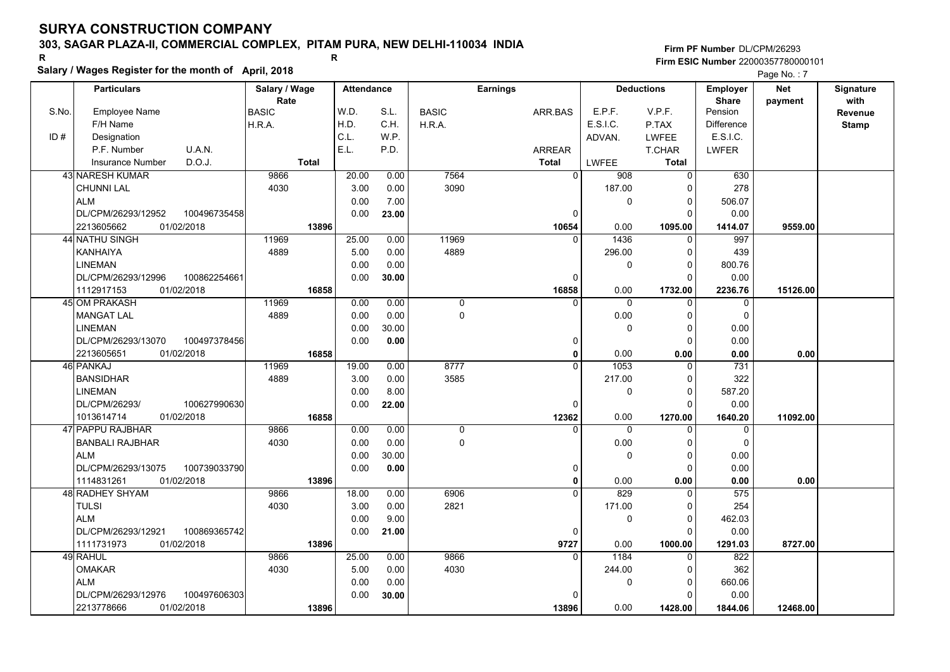### **303, SAGAR PLAZA-II, COMMERCIAL COMPLEX, PITAM PURA, NEW DELHI-110034 INDIA**

**Salary / Wages Register for the month of April, 2018 <sup>R</sup> <sup>R</sup>**

#### **Firm PF Number**DL/CPM/26293**Firm ESIC Number** 22000357780000101

|       | <b>Particulars</b>                 | Salary / Wage        | <b>Attendance</b> |       |              | <b>Earnings</b> |          | <b>Deductions</b> | Employer                | <b>Net</b> | Signature              |
|-------|------------------------------------|----------------------|-------------------|-------|--------------|-----------------|----------|-------------------|-------------------------|------------|------------------------|
| S.No. | Employee Name                      | Rate<br><b>BASIC</b> | W.D.              | S.L.  | <b>BASIC</b> | ARR BAS         | E.P.F.   | V.P.F.            | <b>Share</b><br>Pension | payment    | with<br><b>Revenue</b> |
|       | F/H Name                           | H.R.A.               | H.D.              | C.H.  | H.R.A.       |                 | E.S.I.C. | P.TAX             | <b>Difference</b>       |            | <b>Stamp</b>           |
| ID#   | Designation                        |                      | C.L.              | W.P.  |              |                 | ADVAN.   | <b>LWFEE</b>      | E.S.I.C.                |            |                        |
|       | U.A.N.<br>P.F. Number              |                      | E.L.              | P.D.  |              | ARREAR          |          | T.CHAR            | <b>LWFER</b>            |            |                        |
|       | D.O.J.<br><b>Insurance Number</b>  | <b>Total</b>         |                   |       |              | <b>Total</b>    | LWFEE    | Total             |                         |            |                        |
|       | 43 NARESH KUMAR                    | 9866                 | 20.00             | 0.00  | 7564         | $\mathbf{0}$    | 908      | $\Omega$          | 630                     |            |                        |
|       | <b>CHUNNI LAL</b>                  | 4030                 | 3.00              | 0.00  | 3090         |                 | 187.00   | $\Omega$          | 278                     |            |                        |
|       | <b>ALM</b>                         |                      | 0.00              | 7.00  |              |                 | 0        | 0                 | 506.07                  |            |                        |
|       | DL/CPM/26293/12952<br>100496735458 |                      | 0.00              | 23.00 |              | 0               |          | $\Omega$          | 0.00                    |            |                        |
|       | 2213605662<br>01/02/2018           | 13896                |                   |       |              | 10654           | 0.00     | 1095.00           | 1414.07                 | 9559.00    |                        |
|       | 44  NATHU SINGH                    | 11969                | 25.00             | 0.00  | 11969        | $\Omega$        | 1436     | 0                 | 997                     |            |                        |
|       | <b>KANHAIYA</b>                    | 4889                 | 5.00              | 0.00  | 4889         |                 | 296.00   | $\Omega$          | 439                     |            |                        |
|       | <b>LINEMAN</b>                     |                      | 0.00              | 0.00  |              |                 | 0        | $\overline{0}$    | 800.76                  |            |                        |
|       | DL/CPM/26293/12996<br>100862254661 |                      | 0.00              | 30.00 |              | $\mathbf 0$     |          | $\Omega$          | 0.00                    |            |                        |
|       | 01/02/2018<br>1112917153           | 16858                |                   |       |              | 16858           | 0.00     | 1732.00           | 2236.76                 | 15126.00   |                        |
|       | 45 OM PRAKASH                      | 11969                | 0.00              | 0.00  | 0            | $\Omega$        | $\Omega$ | $\Omega$          | $\mathbf 0$             |            |                        |
|       | <b>MANGAT LAL</b>                  | 4889                 | 0.00              | 0.00  | 0            |                 | 0.00     | $\mathbf 0$       | $\mathbf 0$             |            |                        |
|       | <b>LINEMAN</b>                     |                      | 0.00              | 30.00 |              |                 | 0        | $\Omega$          | 0.00                    |            |                        |
|       | DL/CPM/26293/13070<br>100497378456 |                      | 0.00              | 0.00  |              | 0               |          | $\Omega$          | 0.00                    |            |                        |
|       | 01/02/2018<br>2213605651           | 16858                |                   |       |              | $\mathbf{0}$    | 0.00     | 0.00              | 0.00                    | 0.00       |                        |
|       | 46 PANKAJ                          | 11969                | 19.00             | 0.00  | 8777         | $\Omega$        | 1053     | $\mathbf 0$       | 731                     |            |                        |
|       | <b>BANSIDHAR</b>                   | 4889                 | 3.00              | 0.00  | 3585         |                 | 217.00   | 0                 | 322                     |            |                        |
|       | <b>LINEMAN</b>                     |                      | 0.00              | 8.00  |              |                 | 0        | $\mathbf 0$       | 587.20                  |            |                        |
|       | DL/CPM/26293/<br>100627990630      |                      | 0.00              | 22.00 |              | $\Omega$        |          | $\Omega$          | 0.00                    |            |                        |
|       | 1013614714<br>01/02/2018           | 16858                |                   |       |              | 12362           | 0.00     | 1270.00           | 1640.20                 | 11092.00   |                        |
|       | 47 PAPPU RAJBHAR                   | 9866                 | 0.00              | 0.00  | 0            | $\Omega$        | 0        | $\Omega$          | 0                       |            |                        |
|       | <b>BANBALI RAJBHAR</b>             | 4030                 | 0.00              | 0.00  | $\mathbf 0$  |                 | 0.00     | $\Omega$          | $\mathbf 0$             |            |                        |
|       | <b>ALM</b>                         |                      | 0.00              | 30.00 |              |                 | 0        | $\Omega$          | 0.00                    |            |                        |
|       | DL/CPM/26293/13075<br>100739033790 |                      | 0.00              | 0.00  |              | 0               |          | $\mathbf 0$       | 0.00                    |            |                        |
|       | 1114831261<br>01/02/2018           | 13896                |                   |       |              | 0               | 0.00     | 0.00              | 0.00                    | 0.00       |                        |
|       | 48 RADHEY SHYAM                    | 9866                 | 18.00             | 0.00  | 6906         |                 | 829      | $\Omega$          | 575                     |            |                        |
|       | <b>TULSI</b>                       | 4030                 | 3.00              | 0.00  | 2821         |                 | 171.00   | $\Omega$          | 254                     |            |                        |
|       | <b>ALM</b>                         |                      | 0.00              | 9.00  |              |                 | 0        | $\mathbf 0$       | 462.03                  |            |                        |
|       | DL/CPM/26293/12921<br>100869365742 |                      | 0.00              | 21.00 |              | 0               |          | $\Omega$          | 0.00                    |            |                        |
|       | 01/02/2018<br>1111731973           | 13896                |                   |       |              | 9727            | 0.00     | 1000.00           | 1291.03                 | 8727.00    |                        |
|       | 49 RAHUL                           | 9866                 | 25.00             | 0.00  | 9866         | $\Omega$        | 1184     | $\Omega$          | 822                     |            |                        |
|       | <b>OMAKAR</b>                      | 4030                 | 5.00              | 0.00  | 4030         |                 | 244.00   | 0                 | 362                     |            |                        |
|       | <b>ALM</b>                         |                      | 0.00              | 0.00  |              |                 | 0        | $\mathbf 0$       | 660.06                  |            |                        |
|       | DL/CPM/26293/12976<br>100497606303 |                      | 0.00              | 30.00 |              | $\Omega$        |          | $\Omega$          | 0.00                    |            |                        |
|       | 2213778666<br>01/02/2018           | 13896                |                   |       |              | 13896           | 0.00     | 1428.00           | 1844.06                 | 12468.00   |                        |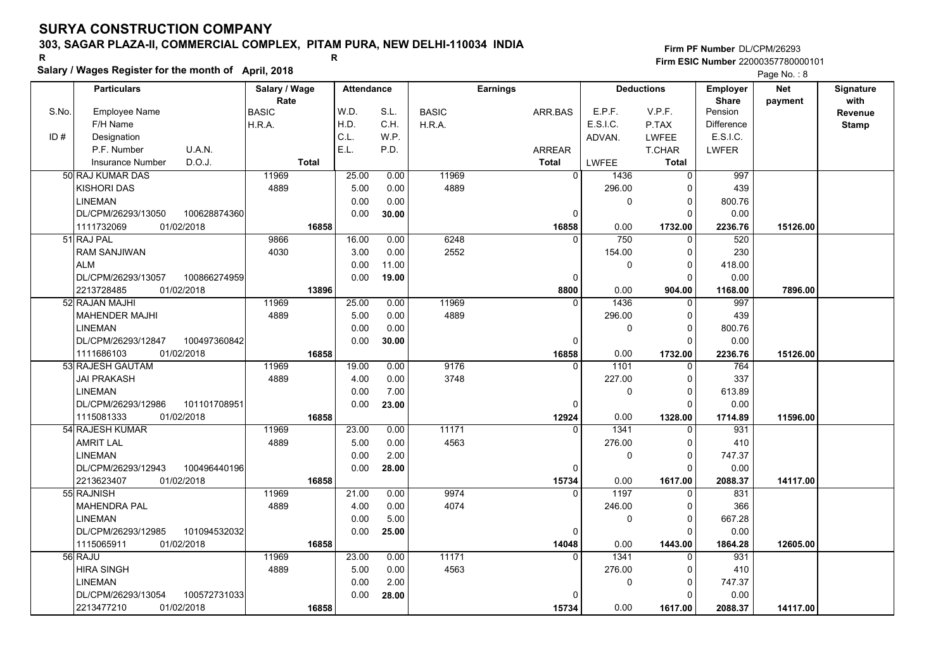### **303, SAGAR PLAZA-II, COMMERCIAL COMPLEX, PITAM PURA, NEW DELHI-110034 INDIA**

**Salary / Wages Register for the month of April, 2018 <sup>R</sup> <sup>R</sup>**

#### **Firm PF Number**DL/CPM/26293**Firm ESIC Number** 22000357780000101

|       | <b>Particulars</b>                |              | Salary / Wage        |              | <b>Attendance</b> |       |              | <b>Earnings</b> |                |              | <b>Deductions</b> | Employer                | <b>Net</b> | Signature       |
|-------|-----------------------------------|--------------|----------------------|--------------|-------------------|-------|--------------|-----------------|----------------|--------------|-------------------|-------------------------|------------|-----------------|
| S.No. | Employee Name                     |              | Rate<br><b>BASIC</b> |              | W.D.              | S.L.  | <b>BASIC</b> | ARR.BAS         |                | E.P.F.       | V.P.F.            | <b>Share</b><br>Pension | payment    | with<br>Revenue |
|       | F/H Name                          |              | H.R.A.               |              | H.D.              | C.H.  | H.R.A.       |                 |                | E.S.I.C.     | P.TAX             | <b>Difference</b>       |            | <b>Stamp</b>    |
| ID#   | Designation                       |              |                      |              | C.L.              | W.P.  |              |                 |                | ADVAN.       | <b>LWFEE</b>      | E.S.I.C.                |            |                 |
|       | U.A.N.<br>P.F. Number             |              |                      |              | E.L.              | P.D.  |              | ARREAR          |                |              | T.CHAR            | <b>LWFER</b>            |            |                 |
|       | D.O.J.<br><b>Insurance Number</b> |              |                      | <b>Total</b> |                   |       |              | <b>Total</b>    |                | <b>LWFEE</b> | Total             |                         |            |                 |
|       | 50 RAJ KUMAR DAS                  |              | 11969                |              | 25.00             | 0.00  | 11969        |                 | $\overline{0}$ | 1436         | 0                 | 997                     |            |                 |
|       | <b>KISHORI DAS</b>                |              | 4889                 |              | 5.00              | 0.00  | 4889         |                 |                | 296.00       | 0                 | 439                     |            |                 |
|       | <b>LINEMAN</b>                    |              |                      |              | 0.00              | 0.00  |              |                 |                | 0            | $\mathbf 0$       | 800.76                  |            |                 |
|       | DL/CPM/26293/13050                | 100628874360 |                      |              | 0.00              | 30.00 |              |                 | $\Omega$       |              | $\Omega$          | 0.00                    |            |                 |
|       | 1111732069<br>01/02/2018          |              |                      | 16858        |                   |       |              |                 | 16858          | 0.00         | 1732.00           | 2236.76                 | 15126.00   |                 |
|       | 51 RAJ PAL                        |              | 9866                 |              | 16.00             | 0.00  | 6248         |                 | $\Omega$       | 750          | $\Omega$          | 520                     |            |                 |
|       | <b>RAM SANJIWAN</b>               |              | 4030                 |              | 3.00              | 0.00  | 2552         |                 |                | 154.00       | $\mathbf 0$       | 230                     |            |                 |
|       | <b>ALM</b>                        |              |                      |              | 0.00              | 11.00 |              |                 |                | 0            | $\mathbf 0$       | 418.00                  |            |                 |
|       | DL/CPM/26293/13057                | 100866274959 |                      |              | 0.00              | 19.00 |              |                 | 0              |              | $\mathbf 0$       | 0.00                    |            |                 |
|       | 2213728485<br>01/02/2018          |              |                      | 13896        |                   |       |              |                 | 8800           | 0.00         | 904.00            | 1168.00                 | 7896.00    |                 |
|       | 52 RAJAN MAJHI                    |              | 11969                |              | 25.00             | 0.00  | 11969        |                 | $\Omega$       | 1436         | $\mathbf 0$       | 997                     |            |                 |
|       | <b>MAHENDER MAJHI</b>             |              | 4889                 |              | 5.00              | 0.00  | 4889         |                 |                | 296.00       | $\mathbf 0$       | 439                     |            |                 |
|       | <b>LINEMAN</b>                    |              |                      |              | 0.00              | 0.00  |              |                 |                | 0            | $\mathbf 0$       | 800.76                  |            |                 |
|       | DL/CPM/26293/12847                | 100497360842 |                      |              | 0.00              | 30.00 |              |                 | $\Omega$       |              | $\Omega$          | 0.00                    |            |                 |
|       | 1111686103<br>01/02/2018          |              |                      | 16858        |                   |       |              |                 | 16858          | 0.00         | 1732.00           | 2236.76                 | 15126.00   |                 |
|       | 53 RAJESH GAUTAM                  |              | 11969                |              | 19.00             | 0.00  | 9176         |                 | $\Omega$       | 1101         | 0                 | 764                     |            |                 |
|       | <b>JAI PRAKASH</b>                |              | 4889                 |              | 4.00              | 0.00  | 3748         |                 |                | 227.00       | $\mathbf 0$       | 337                     |            |                 |
|       | <b>LINEMAN</b>                    |              |                      |              | 0.00              | 7.00  |              |                 |                | 0            | $\mathbf 0$       | 613.89                  |            |                 |
|       | DL/CPM/26293/12986                | 101101708951 |                      |              | 0.00              | 23.00 |              |                 | $\Omega$       |              | $\Omega$          | 0.00                    |            |                 |
|       | 1115081333<br>01/02/2018          |              |                      | 16858        |                   |       |              |                 | 12924          | 0.00         | 1328.00           | 1714.89                 | 11596.00   |                 |
|       | 54 RAJESH KUMAR                   |              | 11969                |              | 23.00             | 0.00  | 11171        |                 | $\Omega$       | 1341         | $\Omega$          | 931                     |            |                 |
|       | <b>AMRIT LAL</b>                  |              | 4889                 |              | 5.00              | 0.00  | 4563         |                 |                | 276.00       | 0                 | 410                     |            |                 |
|       | <b>LINEMAN</b>                    |              |                      |              | 0.00              | 2.00  |              |                 |                | 0            | $\mathbf 0$       | 747.37                  |            |                 |
|       | DL/CPM/26293/12943                | 100496440196 |                      |              | 0.00              | 28.00 |              |                 | 0              |              | $\Omega$          | 0.00                    |            |                 |
|       | 2213623407<br>01/02/2018          |              |                      | 16858        |                   |       |              | 15734           |                | 0.00         | 1617.00           | 2088.37                 | 14117.00   |                 |
|       | 55 RAJNISH                        |              | 11969                |              | 21.00             | 0.00  | 9974         |                 | $\Omega$       | 1197         | $\mathbf 0$       | 831                     |            |                 |
|       | <b>MAHENDRA PAL</b>               |              | 4889                 |              | 4.00              | 0.00  | 4074         |                 |                | 246.00       | $\mathbf 0$       | 366                     |            |                 |
|       | <b>LINEMAN</b>                    |              |                      |              | 0.00              | 5.00  |              |                 |                | 0            | $\mathbf 0$       | 667.28                  |            |                 |
|       | DL/CPM/26293/12985                | 101094532032 |                      |              | 0.00              | 25.00 |              |                 | 0              |              | $\Omega$          | 0.00                    |            |                 |
|       | 01/02/2018<br>1115065911          |              |                      | 16858        |                   |       |              |                 | 14048          | 0.00         | 1443.00           | 1864.28                 | 12605.00   |                 |
|       | 56 RAJU                           |              | 11969                |              | 23.00             | 0.00  | 11171        |                 | $\Omega$       | 1341         | $\Omega$          | 931                     |            |                 |
|       | <b>HIRA SINGH</b>                 |              | 4889                 |              | 5.00              | 0.00  | 4563         |                 |                | 276.00       | 0                 | 410                     |            |                 |
|       | <b>LINEMAN</b>                    |              |                      |              | 0.00              | 2.00  |              |                 |                | 0            | 0                 | 747.37                  |            |                 |
|       | DL/CPM/26293/13054                | 100572731033 |                      |              | 0.00              | 28.00 |              |                 |                |              | $\Omega$          | 0.00                    |            |                 |
|       | 01/02/2018<br>2213477210          |              |                      | 16858        |                   |       |              |                 | 15734          | 0.00         | 1617.00           | 2088.37                 | 14117.00   |                 |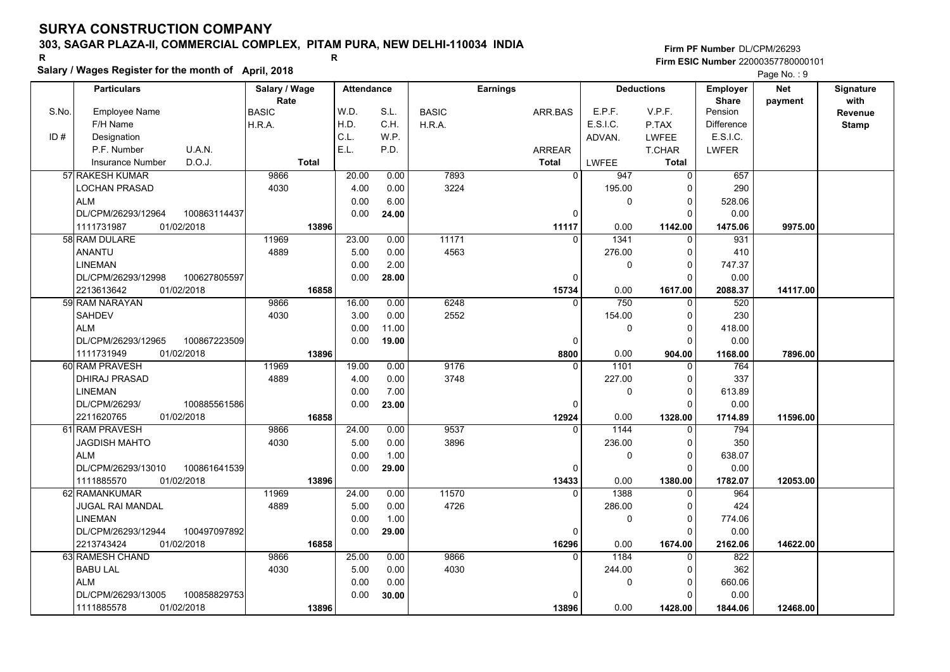### **303, SAGAR PLAZA-II, COMMERCIAL COMPLEX, PITAM PURA, NEW DELHI-110034 INDIA**

**Salary / Wages Register for the month of April, 2018 <sup>R</sup> <sup>R</sup>**

**Firm PF Number**DL/CPM/26293**Firm ESIC Number** 22000357780000101

|       | <b>Particulars</b>                               | Salary / Wage        | <b>Attendance</b> |       |              | <b>Earnings</b>   |              | <b>Deductions</b>         | Employer                | <b>Net</b> | Signature              |
|-------|--------------------------------------------------|----------------------|-------------------|-------|--------------|-------------------|--------------|---------------------------|-------------------------|------------|------------------------|
| S.No. | Employee Name                                    | Rate<br><b>BASIC</b> | W.D.              | S.L.  | <b>BASIC</b> | ARR.BAS           | E.P.F.       | V.P.F.                    | <b>Share</b><br>Pension | payment    | with<br><b>Revenue</b> |
|       | F/H Name                                         | H.R.A.               | H.D.              | C.H.  | H.R.A.       |                   | E.S.I.C.     | P.TAX                     | <b>Difference</b>       |            | <b>Stamp</b>           |
| ID#   | Designation                                      |                      | C.L.              | W.P.  |              |                   | ADVAN.       | <b>LWFEE</b>              | E.S.I.C.                |            |                        |
|       | U.A.N.<br>P.F. Number                            |                      | E.L.              | P.D.  |              | ARREAR            |              | T.CHAR                    | <b>LWFER</b>            |            |                        |
|       | D.O.J.<br><b>Insurance Number</b>                | <b>Total</b>         |                   |       |              | <b>Total</b>      | <b>LWFEE</b> | <b>Total</b>              |                         |            |                        |
|       | 57 RAKESH KUMAR                                  | 9866                 | 20.00             | 0.00  | 7893         | $\overline{0}$    | 947          | 0                         | 657                     |            |                        |
|       | <b>LOCHAN PRASAD</b>                             | 4030                 | 4.00              | 0.00  | 3224         |                   | 195.00       | $\mathbf 0$               | 290                     |            |                        |
|       | <b>ALM</b>                                       |                      | 0.00              | 6.00  |              |                   | 0            | $\mathbf 0$               | 528.06                  |            |                        |
|       | DL/CPM/26293/12964<br>100863114437               |                      | 0.00              | 24.00 |              | 0                 |              | $\Omega$                  | 0.00                    |            |                        |
|       | 1111731987<br>01/02/2018                         | 13896                |                   |       |              | 11117             | 0.00         | 1142.00                   | 1475.06                 | 9975.00    |                        |
|       | 58 RAM DULARE                                    | 11969                | 23.00             | 0.00  | 11171        | $\Omega$          | 1341         | $\Omega$                  | 931                     |            |                        |
|       | ANANTU                                           | 4889                 | 5.00              | 0.00  | 4563         |                   | 276.00       | $\mathbf 0$               | 410                     |            |                        |
|       | <b>LINEMAN</b>                                   |                      | 0.00              | 2.00  |              |                   | 0            | $\mathbf 0$               | 747.37                  |            |                        |
|       | DL/CPM/26293/12998<br>100627805597               |                      | 0.00              | 28.00 |              | 0                 |              | $\mathbf 0$               | 0.00                    |            |                        |
|       | 2213613642<br>01/02/2018                         | 16858                |                   |       |              | 15734             | 0.00         | 1617.00                   | 2088.37                 | 14117.00   |                        |
|       | 59 RAM NARAYAN                                   | 9866                 | 16.00             | 0.00  | 6248         | $\Omega$          | 750          | $\mathbf 0$               | 520                     |            |                        |
|       | SAHDEV                                           | 4030                 | 3.00              | 0.00  | 2552         |                   | 154.00       | $\mathbf 0$               | 230                     |            |                        |
|       | <b>ALM</b>                                       |                      | 0.00              | 11.00 |              |                   | 0            | $\mathbf 0$               | 418.00                  |            |                        |
|       | DL/CPM/26293/12965<br>100867223509               |                      | 0.00              | 19.00 |              | $\Omega$          |              | $\Omega$                  | 0.00                    |            |                        |
|       | 01/02/2018<br>1111731949                         | 13896                |                   |       |              | 8800              | 0.00         | 904.00                    | 1168.00                 | 7896.00    |                        |
|       | 60 RAM PRAVESH                                   | 11969                | 19.00             | 0.00  | 9176         | $\Omega$          | 1101         | 0                         | 764                     |            |                        |
|       | <b>DHIRAJ PRASAD</b>                             | 4889                 | 4.00              | 0.00  | 3748         |                   | 227.00       | $\mathbf 0$               | 337                     |            |                        |
|       | <b>LINEMAN</b>                                   |                      | 0.00              | 7.00  |              |                   | 0            | $\pmb{0}$                 | 613.89                  |            |                        |
|       | DL/CPM/26293/<br>100885561586                    |                      | 0.00              | 23.00 |              | $\Omega$          |              | $\Omega$                  | 0.00                    |            |                        |
|       | 2211620765<br>01/02/2018                         | 16858                |                   |       |              | 12924             | 0.00         | 1328.00                   | 1714.89                 | 11596.00   |                        |
|       | 61 RAM PRAVESH                                   | 9866                 | 24.00             | 0.00  | 9537         | $\Omega$          | 1144         | $\Omega$                  | 794                     |            |                        |
|       | <b>JAGDISH MAHTO</b>                             | 4030                 | 5.00              | 0.00  | 3896         |                   | 236.00       | 0                         | 350                     |            |                        |
|       | <b>ALM</b>                                       |                      | 0.00              | 1.00  |              |                   | 0            | $\mathbf 0$               | 638.07                  |            |                        |
|       | 100861641539<br>DL/CPM/26293/13010               |                      | 0.00              | 29.00 |              | 0                 |              | $\Omega$                  | 0.00                    |            |                        |
|       | 01/02/2018<br>1111885570                         | 13896                |                   |       |              | 13433             | 0.00         | 1380.00                   | 1782.07                 | 12053.00   |                        |
|       | 62 RAMANKUMAR                                    | 11969                | 24.00             | 0.00  | 11570        | $\Omega$          | 1388         | $\mathbf 0$               | 964                     |            |                        |
|       | <b>JUGAL RAI MANDAL</b>                          | 4889                 | 5.00              | 0.00  | 4726         |                   | 286.00       | $\mathbf 0$               | 424                     |            |                        |
|       | <b>LINEMAN</b>                                   |                      | 0.00              | 1.00  |              |                   | $\mathbf 0$  | $\mathbf 0$               | 774.06                  |            |                        |
|       | DL/CPM/26293/12944<br>100497097892               |                      | 0.00              | 29.00 |              | $\Omega$          |              | $\Omega$                  | 0.00                    |            |                        |
|       | 2213743424<br>01/02/2018<br>63 RAMESH CHAND      | 16858                |                   |       | 9866         | 16296<br>$\Omega$ | 0.00<br>1184 | 1674.00<br>$\overline{0}$ | 2162.06                 | 14622.00   |                        |
|       |                                                  | 9866<br>4030         | 25.00             | 0.00  | 4030         |                   | 244.00       |                           | 822                     |            |                        |
|       | <b>BABU LAL</b>                                  |                      | 5.00              | 0.00  |              |                   |              | $\mathbf 0$               | 362                     |            |                        |
|       | <b>ALM</b><br>DL/CPM/26293/13005<br>100858829753 |                      | 0.00              | 0.00  |              | $\Omega$          | 0            | $\mathbf 0$<br>$\Omega$   | 660.06                  |            |                        |
|       |                                                  |                      | 0.00              | 30.00 |              |                   |              |                           | 0.00                    |            |                        |
|       | 01/02/2018<br>1111885578                         | 13896                |                   |       |              | 13896             | 0.00         | 1428.00                   | 1844.06                 | 12468.00   |                        |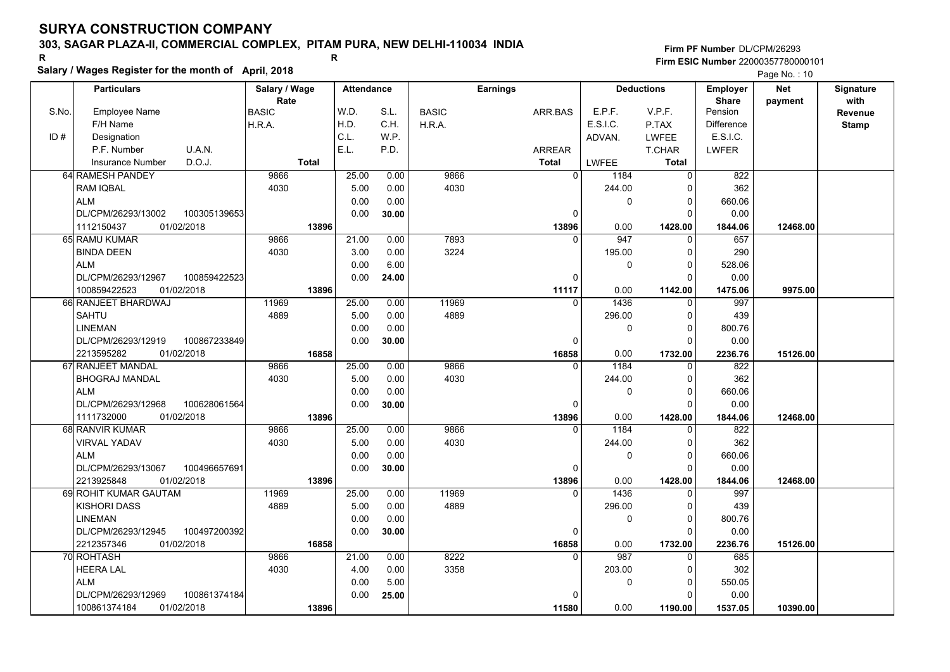### **303, SAGAR PLAZA-II, COMMERCIAL COMPLEX, PITAM PURA, NEW DELHI-110034 INDIA**

**Salary / Wages Register for the month of April, 2018 <sup>R</sup> <sup>R</sup>**

#### **Firm PF Number**DL/CPM/26293**Firm ESIC Number** 22000357780000101

|       | <b>Particulars</b>                 | Salary / Wage        | <b>Attendance</b> |       |              | <b>Earnings</b> |                        | <b>Deductions</b> | Employer                | <b>Net</b> | Signature<br>with |
|-------|------------------------------------|----------------------|-------------------|-------|--------------|-----------------|------------------------|-------------------|-------------------------|------------|-------------------|
| S.No. | Employee Name                      | Rate<br><b>BASIC</b> | W.D.              | S.L.  | <b>BASIC</b> | ARR.BAS         | E.P.F.                 | V.P.F.            | <b>Share</b><br>Pension | payment    | Revenue           |
|       | F/H Name                           | H.R.A.               | H.D.              | C.H.  | H.R.A.       |                 | E.S.I.C.               | P.TAX             | <b>Difference</b>       |            | <b>Stamp</b>      |
| ID#   | Designation                        |                      | C.L.              | W.P.  |              |                 | ADVAN.                 | <b>LWFEE</b>      | E.S.I.C.                |            |                   |
|       | U.A.N.<br>P.F. Number              |                      | E.L.              | P.D.  |              | ARREAR          |                        | T.CHAR            | <b>LWFER</b>            |            |                   |
|       | D.O.J.<br><b>Insurance Number</b>  | <b>Total</b>         |                   |       |              | <b>Total</b>    | <b>LWFEE</b>           | Total             |                         |            |                   |
|       | 64 RAMESH PANDEY                   | 9866                 | 25.00             | 0.00  | 9866         |                 | $\overline{0}$<br>1184 | $\mathbf 0$       | 822                     |            |                   |
|       | <b>RAM IQBAL</b>                   | 4030                 | 5.00              | 0.00  | 4030         |                 | 244.00                 | $\mathbf 0$       | 362                     |            |                   |
|       | <b>ALM</b>                         |                      | 0.00              | 0.00  |              |                 | $\mathbf 0$            | $\mathbf 0$       | 660.06                  |            |                   |
|       | DL/CPM/26293/13002<br>100305139653 |                      | 0.00              | 30.00 |              |                 | $\Omega$               | $\Omega$          | 0.00                    |            |                   |
|       | 1112150437<br>01/02/2018           | 13896                |                   |       |              | 13896           | 0.00                   | 1428.00           | 1844.06                 | 12468.00   |                   |
|       | 65 RAMU KUMAR                      | 9866                 | 21.00             | 0.00  | 7893         |                 | 947<br>0               | $\mathbf 0$       | 657                     |            |                   |
|       | <b>BINDA DEEN</b>                  | 4030                 | 3.00              | 0.00  | 3224         |                 | 195.00                 | $\mathbf 0$       | 290                     |            |                   |
|       | <b>ALM</b>                         |                      | 0.00              | 6.00  |              |                 | $\Omega$               | $\mathbf 0$       | 528.06                  |            |                   |
|       | DL/CPM/26293/12967<br>100859422523 |                      | 0.00              | 24.00 |              |                 | $\Omega$               | $\Omega$          | 0.00                    |            |                   |
|       | 01/02/2018<br>100859422523         | 13896                |                   |       |              | 11117           | 0.00                   | 1142.00           | 1475.06                 | 9975.00    |                   |
|       | 66 RANJEET BHARDWAJ                | 11969                | 25.00             | 0.00  | 11969        |                 | 1436<br>$\Omega$       | 0                 | 997                     |            |                   |
|       | <b>SAHTU</b>                       | 4889                 | 5.00              | 0.00  | 4889         |                 | 296.00                 | $\mathbf 0$       | 439                     |            |                   |
|       | <b>LINEMAN</b>                     |                      | 0.00              | 0.00  |              |                 | $\Omega$               | $\mathbf 0$       | 800.76                  |            |                   |
|       | DL/CPM/26293/12919<br>100867233849 |                      | 0.00              | 30.00 |              |                 | $\mathbf 0$            | $\Omega$          | 0.00                    |            |                   |
|       | 2213595282<br>01/02/2018           | 16858                |                   |       |              | 16858           | 0.00                   | 1732.00           | 2236.76                 | 15126.00   |                   |
|       | 67 RANJEET MANDAL                  | 9866                 | 25.00             | 0.00  | 9866         |                 | 1184<br>$\Omega$       | $\mathbf 0$       | 822                     |            |                   |
|       | <b>BHOGRAJ MANDAL</b>              | 4030                 | 5.00              | 0.00  | 4030         |                 | 244.00                 | $\mathbf 0$       | 362                     |            |                   |
|       | <b>ALM</b>                         |                      | 0.00              | 0.00  |              |                 | 0                      | $\mathbf 0$       | 660.06                  |            |                   |
|       | DL/CPM/26293/12968<br>100628061564 |                      | 0.00              | 30.00 |              |                 | 0                      | $\mathbf 0$       | 0.00                    |            |                   |
|       | 1111732000<br>01/02/2018           | 13896                |                   |       |              | 13896           | 0.00                   | 1428.00           | 1844.06                 | 12468.00   |                   |
|       | 68 RANVIR KUMAR                    | 9866                 | 25.00             | 0.00  | 9866         |                 | 1184<br>$\Omega$       | $\Omega$          | 822                     |            |                   |
|       | VIRVAL YADAV                       | 4030                 | 5.00              | 0.00  | 4030         |                 | 244.00                 | $\mathbf 0$       | 362                     |            |                   |
|       | <b>ALM</b>                         |                      | 0.00              | 0.00  |              |                 | 0                      | $\pmb{0}$         | 660.06                  |            |                   |
|       | DL/CPM/26293/13067<br>100496657691 |                      | 0.00              | 30.00 |              |                 | 0                      | $\Omega$          | 0.00                    |            |                   |
|       | 01/02/2018<br>2213925848           | 13896                |                   |       |              | 13896           | 0.00                   | 1428.00           | 1844.06                 | 12468.00   |                   |
|       | 69 ROHIT KUMAR GAUTAM              | 11969                | 25.00             | 0.00  | 11969        |                 | 1436<br>$\Omega$       | 0                 | 997                     |            |                   |
|       | KISHORI DASS                       | 4889                 | 5.00              | 0.00  | 4889         |                 | 296.00                 | 0                 | 439                     |            |                   |
|       | <b>LINEMAN</b>                     |                      | 0.00              | 0.00  |              |                 | 0                      | $\mathbf 0$       | 800.76                  |            |                   |
|       | 100497200392<br>DL/CPM/26293/12945 |                      | 0.00              | 30.00 |              |                 | $\mathbf{0}$           | $\Omega$          | 0.00                    |            |                   |
|       | 01/02/2018<br>2212357346           | 16858                |                   |       |              | 16858           | 0.00                   | 1732.00           | 2236.76                 | 15126.00   |                   |
|       | 70 ROHTASH                         | 9866                 | 21.00             | 0.00  | 8222         |                 | 987<br>$\Omega$        | $\overline{0}$    | 685                     |            |                   |
|       | <b>HEERA LAL</b>                   | 4030                 | 4.00              | 0.00  | 3358         |                 | 203.00                 | $\mathbf 0$       | 302                     |            |                   |
|       | <b>ALM</b>                         |                      | 0.00              | 5.00  |              |                 | 0                      | $\mathbf 0$       | 550.05                  |            |                   |
|       | DL/CPM/26293/12969<br>100861374184 |                      | 0.00              | 25.00 |              |                 | 0                      | $\Omega$          | 0.00                    |            |                   |
|       | 01/02/2018<br>100861374184         | 13896                |                   |       |              | 11580           | 0.00                   | 1190.00           | 1537.05                 | 10390.00   |                   |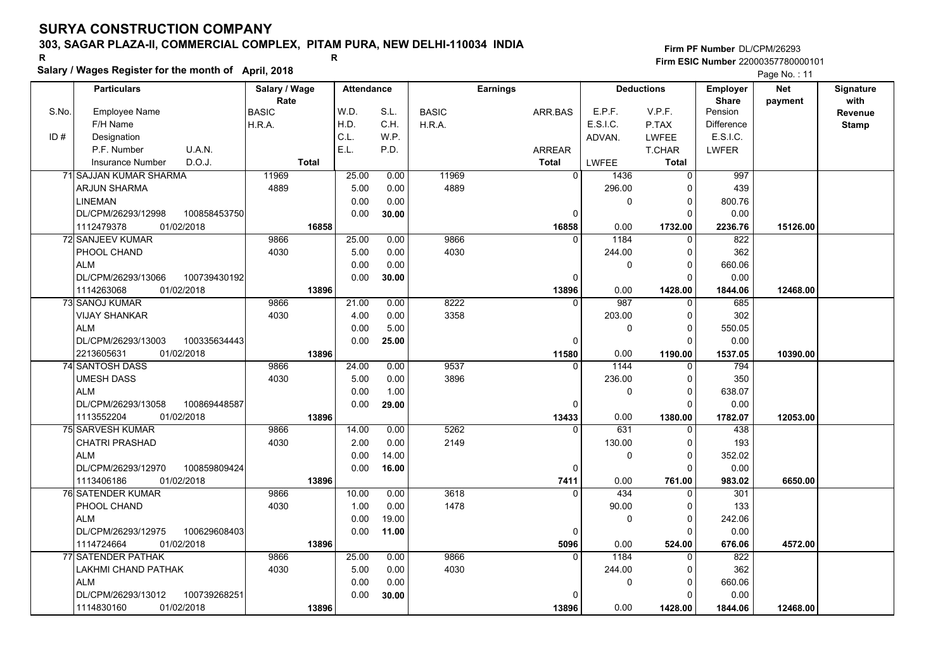### **303, SAGAR PLAZA-II, COMMERCIAL COMPLEX, PITAM PURA, NEW DELHI-110034 INDIA**

**Firm PF Number**DL/CPM/26293**Firm ESIC Number** 22000357780000101

**Salary / Wages Register for the month of April, 2018 <sup>R</sup> <sup>R</sup> Deductions Employer Net Signature Sharepayment**Page No. : 11

|       | <b>Particulars</b>                                             | Salary / Wage        | <b>Attendance</b> |       |              | <b>Earnings</b>   |              | <b>Deductions</b>   | <b>Employer</b>         | <b>Net</b> | Signature              |
|-------|----------------------------------------------------------------|----------------------|-------------------|-------|--------------|-------------------|--------------|---------------------|-------------------------|------------|------------------------|
| S.No. | <b>Employee Name</b>                                           | Rate<br><b>BASIC</b> | W.D.              | S.L.  | <b>BASIC</b> | ARR.BAS           | E.P.F.       | V.P.F.              | <b>Share</b><br>Pension | payment    | with<br><b>Revenue</b> |
|       | F/H Name                                                       | H.R.A.               | H.D.              | C.H.  | H.R.A.       |                   | E.S.I.C.     | P.TAX               | <b>Difference</b>       |            | <b>Stamp</b>           |
| ID#   | Designation                                                    |                      | C.L.              | W.P.  |              |                   | ADVAN.       | <b>LWFEE</b>        | E.S.I.C.                |            |                        |
|       | U.A.N.<br>P.F. Number                                          |                      | E.L.              | P.D.  |              | ARREAR            |              | T.CHAR              | <b>LWFER</b>            |            |                        |
|       | D.O.J.<br><b>Insurance Number</b>                              | <b>Total</b>         |                   |       |              | <b>Total</b>      | <b>LWFEE</b> | <b>Total</b>        |                         |            |                        |
|       | 71 SAJJAN KUMAR SHARMA                                         | 11969                | 25.00             | 0.00  | 11969        | $\overline{0}$    | 1436         | $\mathbf 0$         | 997                     |            |                        |
|       | <b>ARJUN SHARMA</b>                                            | 4889                 | 5.00              | 0.00  | 4889         |                   | 296.00       | $\mathbf 0$         | 439                     |            |                        |
|       | <b>LINEMAN</b>                                                 |                      | 0.00              | 0.00  |              |                   | 0            | $\mathbf 0$         | 800.76                  |            |                        |
|       | DL/CPM/26293/12998<br>100858453750                             |                      | 0.00              | 30.00 |              | $\Omega$          |              | $\Omega$            | 0.00                    |            |                        |
|       | 1112479378<br>01/02/2018                                       | 16858                |                   |       |              | 16858             | 0.00         | 1732.00             | 2236.76                 | 15126.00   |                        |
|       | 72 SANJEEV KUMAR                                               | 9866                 | 25.00             | 0.00  | 9866         | $\Omega$          | 1184         | 0                   | 822                     |            |                        |
|       | PHOOL CHAND                                                    | 4030                 | 5.00              | 0.00  | 4030         |                   | 244.00       | 0                   | 362                     |            |                        |
|       | <b>ALM</b>                                                     |                      | 0.00              | 0.00  |              |                   | 0            | $\mathbf 0$         | 660.06                  |            |                        |
|       | DL/CPM/26293/13066<br>100739430192                             |                      | 0.00              | 30.00 |              | 0                 |              | $\Omega$            | 0.00                    |            |                        |
|       | 01/02/2018<br>1114263068                                       | 13896                |                   |       |              | 13896             | 0.00         | 1428.00             | 1844.06                 | 12468.00   |                        |
|       | 73 SANOJ KUMAR                                                 | 9866                 | 21.00             | 0.00  | 8222         | $\Omega$          | 987          | $\Omega$            | 685                     |            |                        |
|       | <b>VIJAY SHANKAR</b>                                           | 4030                 | 4.00              | 0.00  | 3358         |                   | 203.00       | $\Omega$            | 302                     |            |                        |
|       | <b>ALM</b>                                                     |                      | 0.00              | 5.00  |              |                   | $\Omega$     | $\Omega$            | 550.05                  |            |                        |
|       | DL/CPM/26293/13003<br>100335634443                             |                      | 0.00              | 25.00 |              | $\Omega$          |              | $\Omega$            | 0.00                    |            |                        |
|       | 2213605631<br>01/02/2018                                       | 13896                |                   |       |              | 11580             | 0.00         | 1190.00             | 1537.05                 | 10390.00   |                        |
|       | 74 SANTOSH DASS                                                | 9866                 | 24.00             | 0.00  | 9537         | $\Omega$          | 1144         | $\Omega$            | 794                     |            |                        |
|       | <b>UMESH DASS</b>                                              | 4030                 | 5.00              | 0.00  | 3896         |                   | 236.00       | $\Omega$            | 350                     |            |                        |
|       | <b>ALM</b>                                                     |                      | 0.00              | 1.00  |              |                   | 0            | $\Omega$            | 638.07                  |            |                        |
|       | DL/CPM/26293/13058<br>100869448587<br>1113552204<br>01/02/2018 |                      | 0.00              | 29.00 |              | 0                 | 0.00         | $\Omega$            | 0.00                    |            |                        |
|       | 75 SARVESH KUMAR                                               | 13896<br>9866        | 14.00             | 0.00  | 5262         | 13433<br>$\Omega$ | 631          | 1380.00<br>$\Omega$ | 1782.07<br>438          | 12053.00   |                        |
|       | <b>CHATRI PRASHAD</b>                                          | 4030                 | 2.00              | 0.00  | 2149         |                   | 130.00       | $\Omega$            | 193                     |            |                        |
|       | <b>ALM</b>                                                     |                      | 0.00              | 14.00 |              |                   | 0            | 0                   | 352.02                  |            |                        |
|       | DL/CPM/26293/12970<br>100859809424                             |                      | 0.00              | 16.00 |              | 0                 |              | $\Omega$            | 0.00                    |            |                        |
|       | 1113406186<br>01/02/2018                                       | 13896                |                   |       |              | 7411              | 0.00         | 761.00              | 983.02                  | 6650.00    |                        |
|       | 76 SATENDER KUMAR                                              | 9866                 | 10.00             | 0.00  | 3618         | 0                 | 434          | 0                   | 301                     |            |                        |
|       | PHOOL CHAND                                                    | 4030                 | 1.00              | 0.00  | 1478         |                   | 90.00        | $\Omega$            | 133                     |            |                        |
|       | <b>ALM</b>                                                     |                      | 0.00              | 19.00 |              |                   | $\mathbf{0}$ | $\Omega$            | 242.06                  |            |                        |
|       | DL/CPM/26293/12975<br>100629608403                             |                      | 0.00              | 11.00 |              | $\Omega$          |              | $\Omega$            | 0.00                    |            |                        |
|       | 01/02/2018<br>1114724664                                       | 13896                |                   |       |              | 5096              | 0.00         | 524.00              | 676.06                  | 4572.00    |                        |
|       | <b>77 SATENDER PATHAK</b>                                      | 9866                 | 25.00             | 0.00  | 9866         | $\Omega$          | 1184         | $\Omega$            | 822                     |            |                        |
|       | <b>LAKHMI CHAND PATHAK</b>                                     | 4030                 | 5.00              | 0.00  | 4030         |                   | 244.00       | $\Omega$            | 362                     |            |                        |
|       | <b>ALM</b>                                                     |                      | 0.00              | 0.00  |              |                   | 0            | $\Omega$            | 660.06                  |            |                        |
|       | DL/CPM/26293/13012<br>100739268251                             |                      | 0.00              | 30.00 |              | O                 |              | $\Omega$            | 0.00                    |            |                        |
|       | 1114830160<br>01/02/2018                                       | 13896                |                   |       |              | 13896             | 0.00         | 1428.00             | 1844.06                 | 12468.00   |                        |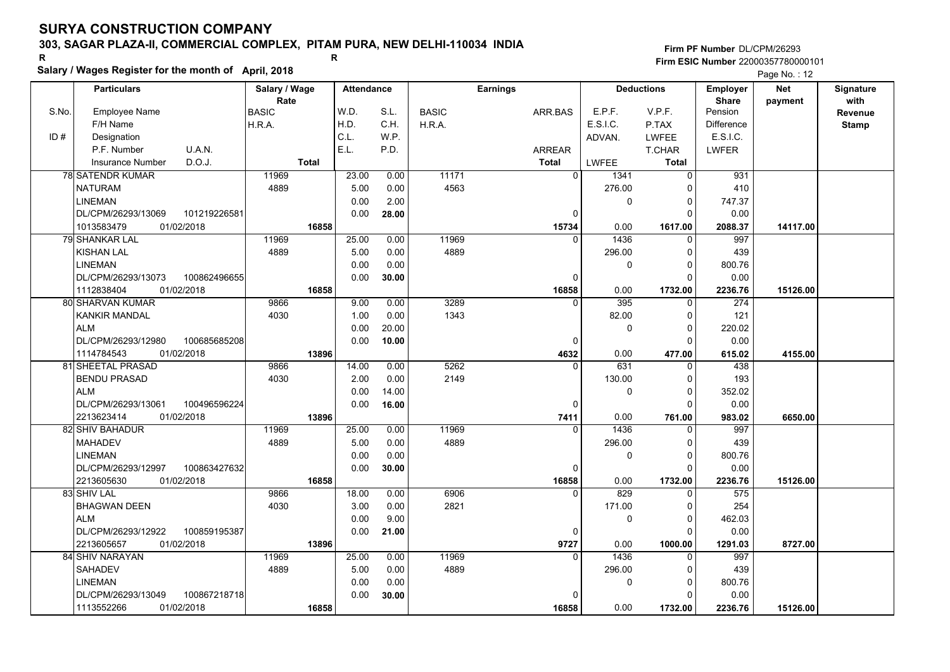### **303, SAGAR PLAZA-II, COMMERCIAL COMPLEX, PITAM PURA, NEW DELHI-110034 INDIA**

**Salary / Wages Register for the month of April, 2018 <sup>R</sup> <sup>R</sup>**

**Firm PF Number**DL/CPM/26293**Firm ESIC Number** 22000357780000101

|       | <b>Particulars</b>                 | Salary / Wage        | <b>Attendance</b> |       |              | <b>Earnings</b> |                        | <b>Deductions</b>     | <b>Employer</b>         | <b>Net</b> | Signature<br>with |
|-------|------------------------------------|----------------------|-------------------|-------|--------------|-----------------|------------------------|-----------------------|-------------------------|------------|-------------------|
| S.No. | Employee Name                      | Rate<br><b>BASIC</b> | W.D.              | S.L.  | <b>BASIC</b> | ARR.BAS         | E.P.F.                 | V.P.F.                | <b>Share</b><br>Pension | payment    | Revenue           |
|       | F/H Name                           | H.R.A.               | H.D.              | C.H.  | H.R.A.       |                 | E.S.I.C.               | P.TAX                 | <b>Difference</b>       |            | <b>Stamp</b>      |
| ID#   | Designation                        |                      | C.L.              | W.P.  |              |                 | ADVAN.                 | LWFEE                 | E.S.I.C.                |            |                   |
|       | U.A.N.<br>P.F. Number              |                      | E.L.              | P.D.  |              | <b>ARREAR</b>   |                        | T.CHAR                | LWFER                   |            |                   |
|       | D.O.J.<br><b>Insurance Number</b>  | <b>Total</b>         |                   |       |              | Total           | LWFEE                  | <b>Total</b>          |                         |            |                   |
|       | <b>78 SATENDR KUMAR</b>            | 11969                | 23.00             | 0.00  | 11171        |                 | $\overline{0}$<br>1341 | $\mathbf 0$           | 931                     |            |                   |
|       | <b>NATURAM</b>                     | 4889                 | 5.00              | 0.00  | 4563         |                 | 276.00                 | 0                     | 410                     |            |                   |
|       | <b>LINEMAN</b>                     |                      | 0.00              | 2.00  |              |                 | 0                      | $\mathbf 0$           | 747.37                  |            |                   |
|       | DL/CPM/26293/13069<br>101219226581 |                      | 0.00              | 28.00 |              | 0               |                        | $\mathbf 0$           | 0.00                    |            |                   |
|       | 1013583479<br>01/02/2018           | 16858                |                   |       |              | 15734           | 0.00                   | 1617.00               | 2088.37                 | 14117.00   |                   |
|       | <b>79 SHANKAR LAL</b>              | 11969                | 25.00             | 0.00  | 11969        |                 | 1436<br>$\Omega$       | $\mathbf 0$           | 997                     |            |                   |
|       | <b>KISHAN LAL</b>                  | 4889                 | 5.00              | 0.00  | 4889         |                 | 296.00                 | $\mathbf 0$           | 439                     |            |                   |
|       | <b>LINEMAN</b>                     |                      | 0.00              | 0.00  |              |                 | 0                      | $\mathbf 0$           | 800.76                  |            |                   |
|       | DL/CPM/26293/13073<br>100862496655 |                      | 0.00              | 30.00 |              | $\Omega$        |                        | $\Omega$              | 0.00                    |            |                   |
|       | 1112838404<br>01/02/2018           | 16858                |                   |       |              | 16858           | 0.00                   | 1732.00               | 2236.76                 | 15126.00   |                   |
|       | 80 SHARVAN KUMAR                   | 9866                 | 9.00              | 0.00  | 3289         | $\Omega$        | 395                    | $\mathbf 0$           | $\overline{274}$        |            |                   |
|       | <b>KANKIR MANDAL</b>               | 4030                 | 1.00              | 0.00  | 1343         |                 | 82.00                  | $\mathbf 0$           | 121                     |            |                   |
|       | <b>ALM</b>                         |                      | 0.00              | 20.00 |              |                 | 0                      | $\mathbf 0$           | 220.02                  |            |                   |
|       | 100685685208<br>DL/CPM/26293/12980 |                      | 0.00              | 10.00 |              | $\Omega$        |                        | $\Omega$              | 0.00                    |            |                   |
|       | 1114784543<br>01/02/2018           | 13896                |                   |       |              | 4632            | 0.00                   | 477.00                | 615.02                  | 4155.00    |                   |
|       | 81 SHEETAL PRASAD                  | 9866                 | 14.00             | 0.00  | 5262         | $\Omega$        | 631                    | $\mathbf 0$           | 438                     |            |                   |
|       | <b>BENDU PRASAD</b>                | 4030                 | 2.00              | 0.00  | 2149         |                 | 130.00                 | $\mathbf 0$           | 193                     |            |                   |
|       | <b>ALM</b>                         |                      | 0.00              | 14.00 |              |                 | 0                      | $\mathbf 0$           | 352.02                  |            |                   |
|       | 100496596224<br>DL/CPM/26293/13061 |                      | 0.00              | 16.00 |              | 0               |                        | $\mathbf 0$           | 0.00                    |            |                   |
|       | 2213623414<br>01/02/2018           | 13896                |                   |       |              |                 | 0.00                   |                       | 983.02                  | 6650.00    |                   |
|       | 82 SHIV BAHADUR                    | 11969                | 25.00             | 0.00  | 11969        | 7411            | 1436<br>$\Omega$       | 761.00<br>$\mathbf 0$ | 997                     |            |                   |
|       | <b>MAHADEV</b>                     | 4889                 | 5.00              | 0.00  | 4889         |                 | 296.00                 | $\mathbf 0$           | 439                     |            |                   |
|       | <b>LINEMAN</b>                     |                      | 0.00              | 0.00  |              |                 | 0                      | $\mathsf 0$           | 800.76                  |            |                   |
|       | 100863427632<br>DL/CPM/26293/12997 |                      | 0.00              | 30.00 |              | 0               |                        | $\Omega$              | 0.00                    |            |                   |
|       | 01/02/2018<br>2213605630           | 16858                |                   |       |              | 16858           | 0.00                   | 1732.00               | 2236.76                 | 15126.00   |                   |
|       | 83 SHIV LAL                        | 9866                 | 18.00             | 0.00  | 6906         |                 | 829                    | $\Omega$              | 575                     |            |                   |
|       | <b>BHAGWAN DEEN</b>                | 4030                 | 3.00              | 0.00  | 2821         |                 | 171.00                 | $\mathbf 0$           | 254                     |            |                   |
|       | <b>ALM</b>                         |                      | 0.00              | 9.00  |              |                 | 0                      | $\mathbf 0$           | 462.03                  |            |                   |
|       | DL/CPM/26293/12922<br>100859195387 |                      | 0.00              | 21.00 |              | $\Omega$        |                        | $\Omega$              | 0.00                    |            |                   |
|       | 2213605657<br>01/02/2018           | 13896                |                   |       |              | 9727            | 0.00                   | 1000.00               | 1291.03                 | 8727.00    |                   |
|       | 84 SHIV NARAYAN                    | 11969                | 25.00             | 0.00  | 11969        | $\Omega$        | 1436                   | $\overline{0}$        | 997                     |            |                   |
|       | <b>SAHADEV</b>                     | 4889                 | 5.00              | 0.00  | 4889         |                 | 296.00                 | 0                     | 439                     |            |                   |
|       | <b>LINEMAN</b>                     |                      | 0.00              | 0.00  |              |                 | 0                      | $\mathbf 0$           |                         |            |                   |
|       | DL/CPM/26293/13049<br>100867218718 |                      | 0.00              |       |              | 0               |                        | $\mathbf 0$           | 800.76<br>0.00          |            |                   |
|       |                                    |                      |                   | 30.00 |              |                 |                        |                       |                         |            |                   |
|       | 1113552266<br>01/02/2018           | 16858                |                   |       |              | 16858           | 0.00                   | 1732.00               | 2236.76                 | 15126.00   |                   |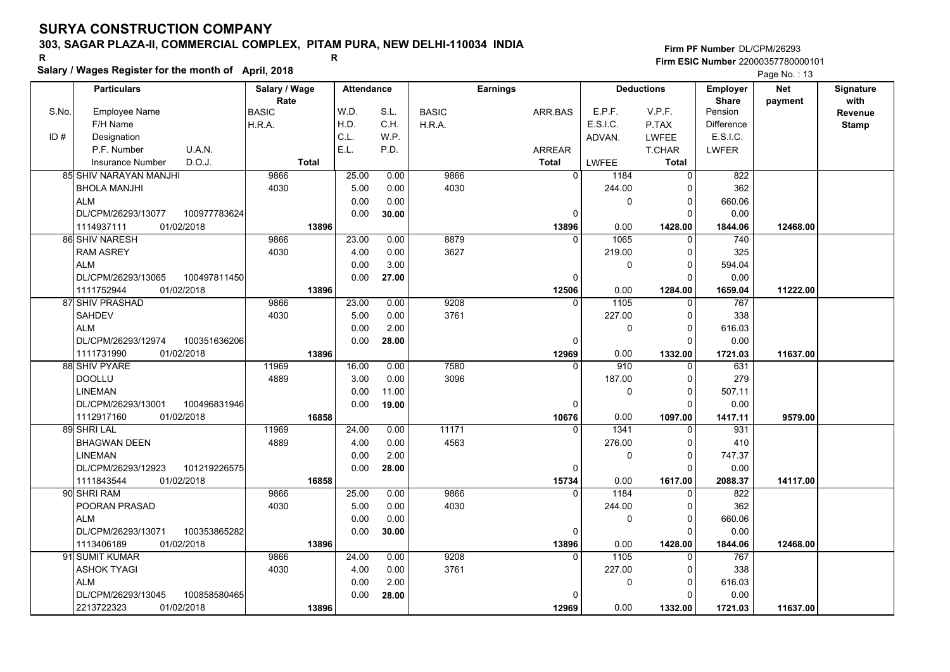### **303, SAGAR PLAZA-II, COMMERCIAL COMPLEX, PITAM PURA, NEW DELHI-110034 INDIA**

**Salary / Wages Register for the month of April, 2018 <sup>R</sup> <sup>R</sup>**

**Firm PF Number**DL/CPM/26293**Firm ESIC Number** 22000357780000101

|       | <b>Particulars</b>                                             | Salary / Wage<br>Rate | <b>Attendance</b> |       | <b>Earnings</b> |               | <b>Deductions</b>    |                     | <b>Employer</b><br><b>Share</b> | <b>Net</b> | Signature<br>with |
|-------|----------------------------------------------------------------|-----------------------|-------------------|-------|-----------------|---------------|----------------------|---------------------|---------------------------------|------------|-------------------|
| S.No. | Employee Name                                                  | BASIC                 | W.D.              | S.L.  | <b>BASIC</b>    | ARR.BAS       | E.P.F.               | V.P.F.              | Pension                         | payment    | Revenue           |
|       | F/H Name                                                       | H.R.A.                | H.D.              | C.H.  | H.R.A.          |               | E.S.I.C.             | P.TAX               | <b>Difference</b>               |            | <b>Stamp</b>      |
| ID#   | Designation                                                    |                       | C.L.              | W.P.  |                 |               | ADVAN.               | <b>LWFEE</b>        | E.S.I.C.                        |            |                   |
|       | U.A.N.<br>P.F. Number                                          |                       | E.L.              | P.D.  |                 | <b>ARREAR</b> |                      | T.CHAR              | <b>LWFER</b>                    |            |                   |
|       | D.O.J.<br><b>Insurance Number</b>                              | <b>Total</b>          |                   |       |                 | <b>Total</b>  | <b>LWFEE</b>         | <b>Total</b>        |                                 |            |                   |
|       | 85 SHIV NARAYAN MANJHI                                         | 9866                  | 25.00             | 0.00  | 9866            |               | 1184<br>$\mathbf 0$  | $\mathbf 0$         | 822                             |            |                   |
|       | <b>BHOLA MANJHI</b>                                            | 4030                  | 5.00              | 0.00  | 4030            |               | 244.00               | 0                   | 362                             |            |                   |
|       | <b>ALM</b>                                                     |                       | 0.00              | 0.00  |                 |               | $\Omega$             | $\Omega$            | 660.06                          |            |                   |
|       | DL/CPM/26293/13077<br>100977783624                             |                       | 0.00              | 30.00 |                 |               | 0                    | $\Omega$            | 0.00                            |            |                   |
|       | 01/02/2018<br>1114937111                                       | 13896                 |                   |       |                 | 13896         | 0.00                 | 1428.00             | 1844.06                         | 12468.00   |                   |
|       | 86 SHIV NARESH                                                 | 9866                  | 23.00             | 0.00  | 8879            |               | 1065<br>$\mathbf{0}$ | $\Omega$            | 740                             |            |                   |
|       | <b>RAM ASREY</b>                                               | 4030                  | 4.00              | 0.00  | 3627            |               | 219.00               | 0                   | 325                             |            |                   |
|       | <b>ALM</b>                                                     |                       | 0.00              | 3.00  |                 |               | $\Omega$             | $\Omega$            | 594.04                          |            |                   |
|       | DL/CPM/26293/13065<br>100497811450                             |                       | 0.00              | 27.00 |                 |               | $\Omega$             | $\Omega$            | 0.00                            |            |                   |
|       | 1111752944<br>01/02/2018                                       | 13896                 |                   |       |                 | 12506         | 0.00                 | 1284.00             | 1659.04                         | 11222.00   |                   |
|       | 87 SHIV PRASHAD                                                | 9866                  | 23.00             | 0.00  | 9208            |               | 1105<br>$\Omega$     | $\Omega$            | 767                             |            |                   |
|       | SAHDEV                                                         | 4030                  | 5.00              | 0.00  | 3761            |               | 227.00               | $\Omega$            | 338                             |            |                   |
|       | <b>ALM</b>                                                     |                       | 0.00              | 2.00  |                 |               | $\Omega$             | $\Omega$            | 616.03                          |            |                   |
|       | DL/CPM/26293/12974<br>100351636206                             |                       | 0.00              | 28.00 |                 |               | $\Omega$             | $\Omega$            | 0.00                            |            |                   |
|       | 01/02/2018<br>1111731990                                       | 13896                 |                   |       |                 | 12969         | 0.00                 | 1332.00             | 1721.03                         | 11637.00   |                   |
|       | 88 SHIV PYARE                                                  | 11969                 | 16.00             | 0.00  | 7580            |               | 910<br>$\Omega$      | $\Omega$            | 631                             |            |                   |
|       | <b>DOOLLU</b>                                                  | 4889                  | 3.00              | 0.00  | 3096            |               | 187.00               | 0                   | 279                             |            |                   |
|       | <b>LINEMAN</b>                                                 |                       | 0.00              | 11.00 |                 |               | $\pmb{0}$            | $\Omega$            | 507.11                          |            |                   |
|       | 100496831946<br>DL/CPM/26293/13001                             |                       | 0.00              | 19.00 |                 |               | 0                    | $\Omega$            | 0.00                            |            |                   |
|       | 01/02/2018<br>1112917160                                       | 16858                 |                   |       |                 | 10676         | 0.00                 | 1097.00             | 1417.11                         | 9579.00    |                   |
|       | 89 SHRI LAL                                                    | 11969                 | 24.00             | 0.00  | 11171           |               | 1341<br>$\Omega$     | $\Omega$            | 931                             |            |                   |
|       | <b>BHAGWAN DEEN</b>                                            | 4889                  | 4.00              | 0.00  | 4563            |               | 276.00               | $\Omega$            | 410                             |            |                   |
|       | <b>LINEMAN</b>                                                 |                       | 0.00              | 2.00  |                 |               | 0                    | 0                   | 747.37                          |            |                   |
|       | DL/CPM/26293/12923<br>101219226575<br>1111843544<br>01/02/2018 | 16858                 | 0.00              | 28.00 |                 |               | $\Omega$<br>0.00     | $\Omega$            | 0.00<br>2088.37                 |            |                   |
|       | 90 SHRI RAM                                                    | 9866                  | 25.00             | 0.00  | 9866            | 15734         | 1184                 | 1617.00<br>$\Omega$ | 822                             | 14117.00   |                   |
|       | POORAN PRASAD                                                  | 4030                  | 5.00              | 0.00  | 4030            |               | 244.00               | $\Omega$            | 362                             |            |                   |
|       | <b>ALM</b>                                                     |                       | 0.00              | 0.00  |                 |               | 0                    | $\Omega$            | 660.06                          |            |                   |
|       | DL/CPM/26293/13071<br>100353865282                             |                       | 0.00              | 30.00 |                 |               | $\Omega$             | $\Omega$            | 0.00                            |            |                   |
|       | 1113406189<br>01/02/2018                                       | 13896                 |                   |       |                 | 13896         | 0.00                 | 1428.00             | 1844.06                         | 12468.00   |                   |
|       | 91 SUMIT KUMAR                                                 | 9866                  | 24.00             | 0.00  | 9208            |               | 1105<br>$\Omega$     | $\Omega$            | 767                             |            |                   |
|       | <b>ASHOK TYAGI</b>                                             | 4030                  | 4.00              | 0.00  | 3761            |               | 227.00               | 0                   | 338                             |            |                   |
|       | <b>ALM</b>                                                     |                       | 0.00              | 2.00  |                 |               | 0                    | $\Omega$            | 616.03                          |            |                   |
|       | DL/CPM/26293/13045<br>100858580465                             |                       | 0.00              | 28.00 |                 | n             |                      | $\Omega$            | 0.00                            |            |                   |
|       | 2213722323<br>01/02/2018                                       | 13896                 |                   |       |                 | 12969         | 0.00                 | 1332.00             | 1721.03                         | 11637.00   |                   |
|       |                                                                |                       |                   |       |                 |               |                      |                     |                                 |            |                   |